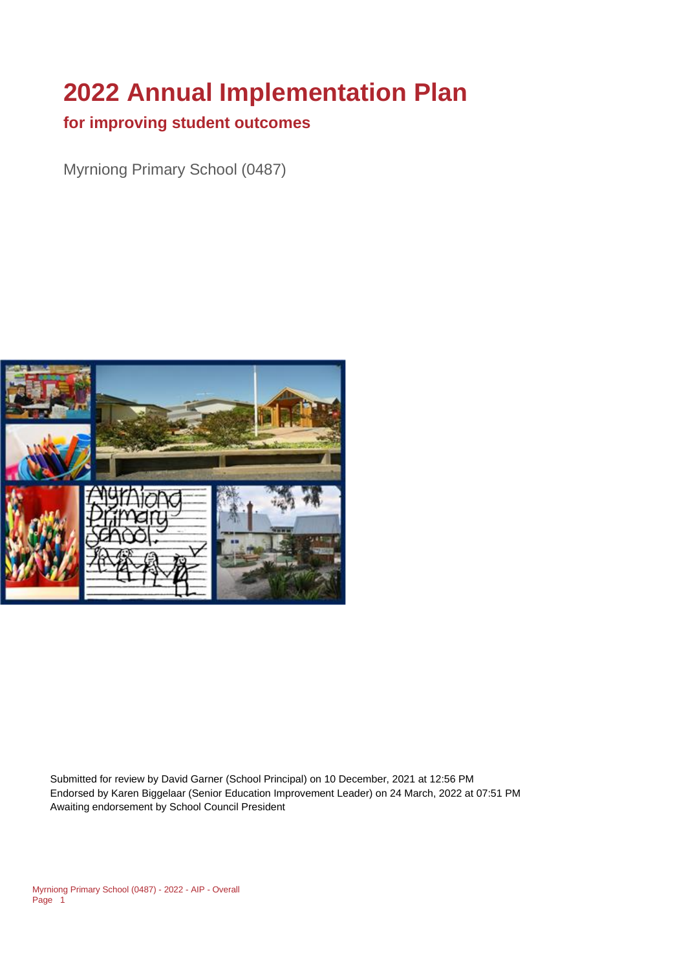# **2022 Annual Implementation Plan**

#### **for improving student outcomes**

Myrniong Primary School (0487)



Submitted for review by David Garner (School Principal) on 10 December, 2021 at 12:56 PM Endorsed by Karen Biggelaar (Senior Education Improvement Leader) on 24 March, 2022 at 07:51 PM Awaiting endorsement by School Council President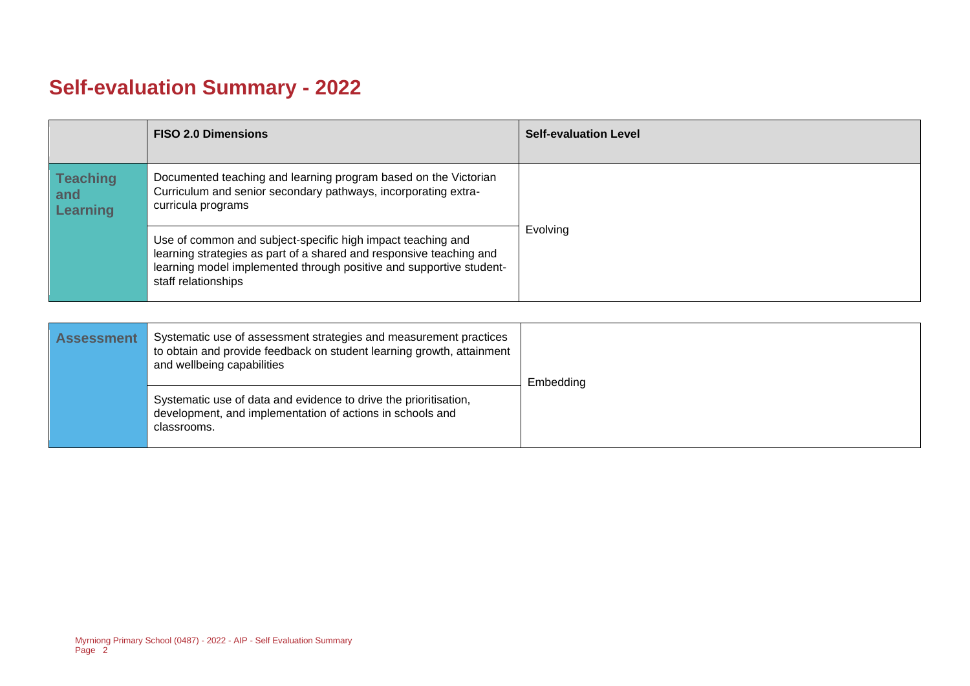## **Self-evaluation Summary - 2022**

|                                           | <b>FISO 2.0 Dimensions</b>                                                                                                                                                                                                       | <b>Self-evaluation Level</b> |
|-------------------------------------------|----------------------------------------------------------------------------------------------------------------------------------------------------------------------------------------------------------------------------------|------------------------------|
| <b>Teaching</b><br>and<br><b>Learning</b> | Documented teaching and learning program based on the Victorian<br>Curriculum and senior secondary pathways, incorporating extra-<br>curricula programs                                                                          |                              |
|                                           | Use of common and subject-specific high impact teaching and<br>learning strategies as part of a shared and responsive teaching and<br>learning model implemented through positive and supportive student-<br>staff relationships | Evolving                     |

| <b>Assessment</b> | Systematic use of assessment strategies and measurement practices<br>to obtain and provide feedback on student learning growth, attainment<br>and wellbeing capabilities | Embedding |
|-------------------|--------------------------------------------------------------------------------------------------------------------------------------------------------------------------|-----------|
|                   | Systematic use of data and evidence to drive the prioritisation,<br>development, and implementation of actions in schools and<br>classrooms.                             |           |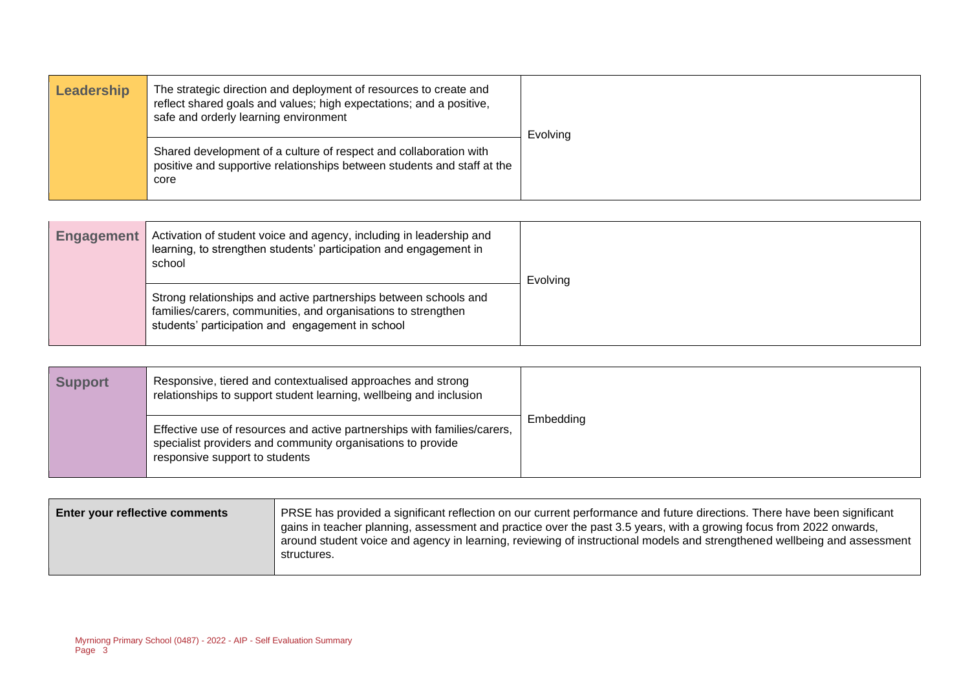| Leadership | The strategic direction and deployment of resources to create and<br>reflect shared goals and values; high expectations; and a positive,<br>safe and orderly learning environment | Evolving |
|------------|-----------------------------------------------------------------------------------------------------------------------------------------------------------------------------------|----------|
|            | Shared development of a culture of respect and collaboration with<br>positive and supportive relationships between students and staff at the<br>core                              |          |

| Activation of student voice and agency, including in leadership and<br><b>Engagement</b><br>learning, to strengthen students' participation and engagement in<br>school |                                                                                                                                                                                       | Evolving |
|-------------------------------------------------------------------------------------------------------------------------------------------------------------------------|---------------------------------------------------------------------------------------------------------------------------------------------------------------------------------------|----------|
|                                                                                                                                                                         | Strong relationships and active partnerships between schools and<br>families/carers, communities, and organisations to strengthen<br>students' participation and engagement in school |          |

| <b>Support</b> | Responsive, tiered and contextualised approaches and strong<br>relationships to support student learning, wellbeing and inclusion                                         |           |
|----------------|---------------------------------------------------------------------------------------------------------------------------------------------------------------------------|-----------|
|                | Effective use of resources and active partnerships with families/carers,<br>specialist providers and community organisations to provide<br>responsive support to students | Embedding |

| Enter your reflective comments | PRSE has provided a significant reflection on our current performance and future directions. There have been significant<br>gains in teacher planning, assessment and practice over the past 3.5 years, with a growing focus from 2022 onwards,<br>around student voice and agency in learning, reviewing of instructional models and strengthened wellbeing and assessment<br>structures. |
|--------------------------------|--------------------------------------------------------------------------------------------------------------------------------------------------------------------------------------------------------------------------------------------------------------------------------------------------------------------------------------------------------------------------------------------|
|                                |                                                                                                                                                                                                                                                                                                                                                                                            |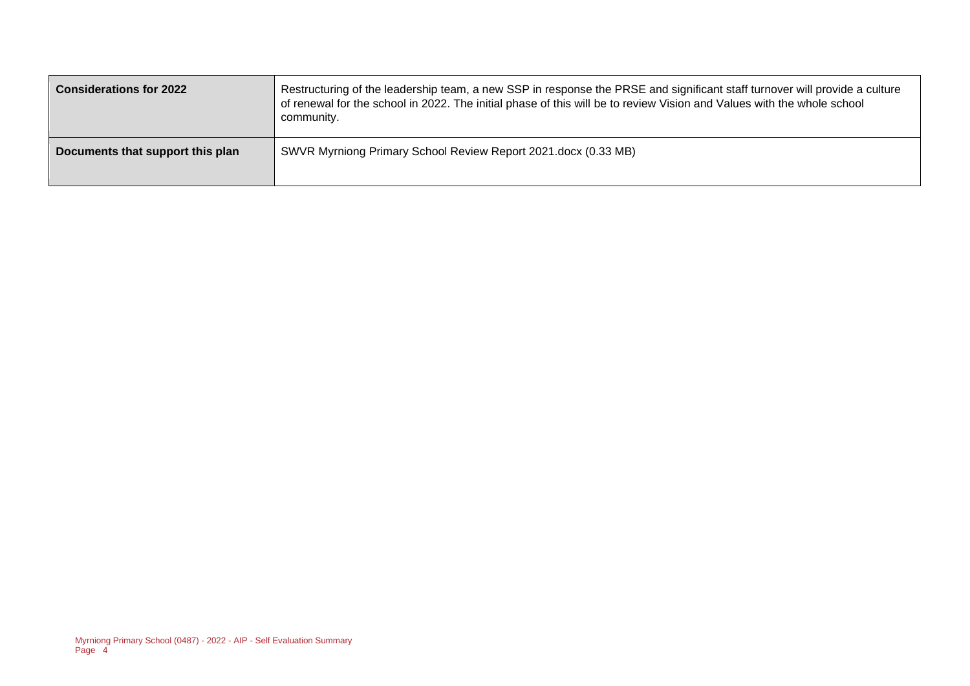| <b>Considerations for 2022</b>   | Restructuring of the leadership team, a new SSP in response the PRSE and significant staff turnover will provide a culture<br>of renewal for the school in 2022. The initial phase of this will be to review Vision and Values with the whole school<br>community. |
|----------------------------------|--------------------------------------------------------------------------------------------------------------------------------------------------------------------------------------------------------------------------------------------------------------------|
| Documents that support this plan | SWVR Myrniong Primary School Review Report 2021.docx (0.33 MB)                                                                                                                                                                                                     |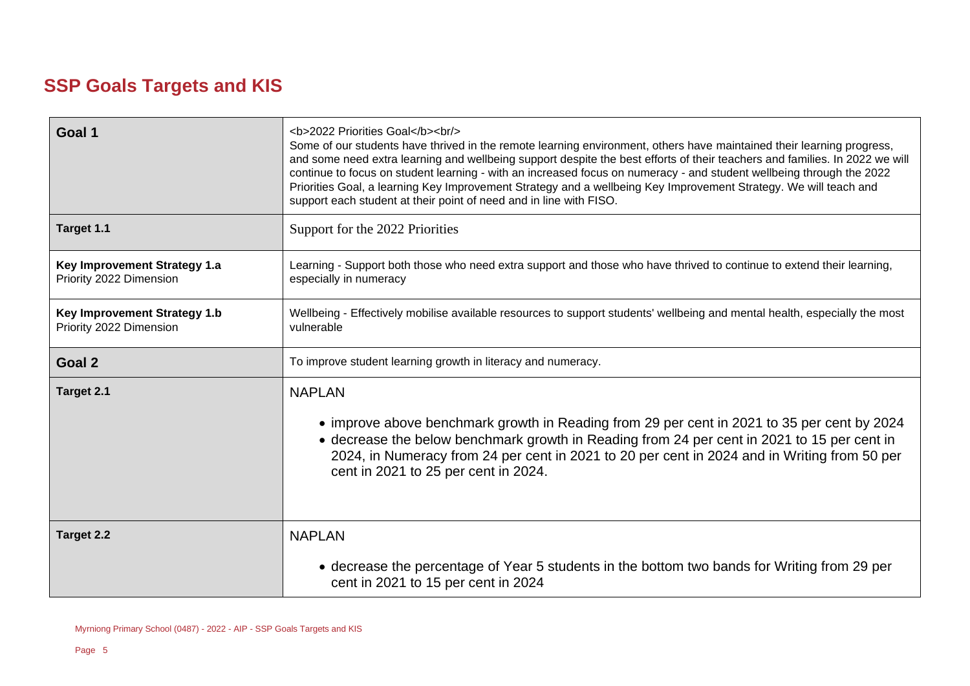### **SSP Goals Targets and KIS**

| Goal 1                                                  | <b>2022 Priorities Goal</b><br><br><br>Some of our students have thrived in the remote learning environment, others have maintained their learning progress,<br>and some need extra learning and wellbeing support despite the best efforts of their teachers and families. In 2022 we will<br>continue to focus on student learning - with an increased focus on numeracy - and student wellbeing through the 2022<br>Priorities Goal, a learning Key Improvement Strategy and a wellbeing Key Improvement Strategy. We will teach and<br>support each student at their point of need and in line with FISO. |  |  |
|---------------------------------------------------------|---------------------------------------------------------------------------------------------------------------------------------------------------------------------------------------------------------------------------------------------------------------------------------------------------------------------------------------------------------------------------------------------------------------------------------------------------------------------------------------------------------------------------------------------------------------------------------------------------------------|--|--|
| Target 1.1                                              | Support for the 2022 Priorities                                                                                                                                                                                                                                                                                                                                                                                                                                                                                                                                                                               |  |  |
| Key Improvement Strategy 1.a<br>Priority 2022 Dimension | Learning - Support both those who need extra support and those who have thrived to continue to extend their learning,<br>especially in numeracy                                                                                                                                                                                                                                                                                                                                                                                                                                                               |  |  |
| Key Improvement Strategy 1.b<br>Priority 2022 Dimension | Wellbeing - Effectively mobilise available resources to support students' wellbeing and mental health, especially the most<br>vulnerable                                                                                                                                                                                                                                                                                                                                                                                                                                                                      |  |  |
| Goal 2                                                  | To improve student learning growth in literacy and numeracy.                                                                                                                                                                                                                                                                                                                                                                                                                                                                                                                                                  |  |  |
| Target 2.1                                              | <b>NAPLAN</b><br>• improve above benchmark growth in Reading from 29 per cent in 2021 to 35 per cent by 2024<br>• decrease the below benchmark growth in Reading from 24 per cent in 2021 to 15 per cent in<br>2024, in Numeracy from 24 per cent in 2021 to 20 per cent in 2024 and in Writing from 50 per<br>cent in 2021 to 25 per cent in 2024.                                                                                                                                                                                                                                                           |  |  |
| <b>Target 2.2</b>                                       | <b>NAPLAN</b>                                                                                                                                                                                                                                                                                                                                                                                                                                                                                                                                                                                                 |  |  |
|                                                         | • decrease the percentage of Year 5 students in the bottom two bands for Writing from 29 per<br>cent in 2021 to 15 per cent in 2024                                                                                                                                                                                                                                                                                                                                                                                                                                                                           |  |  |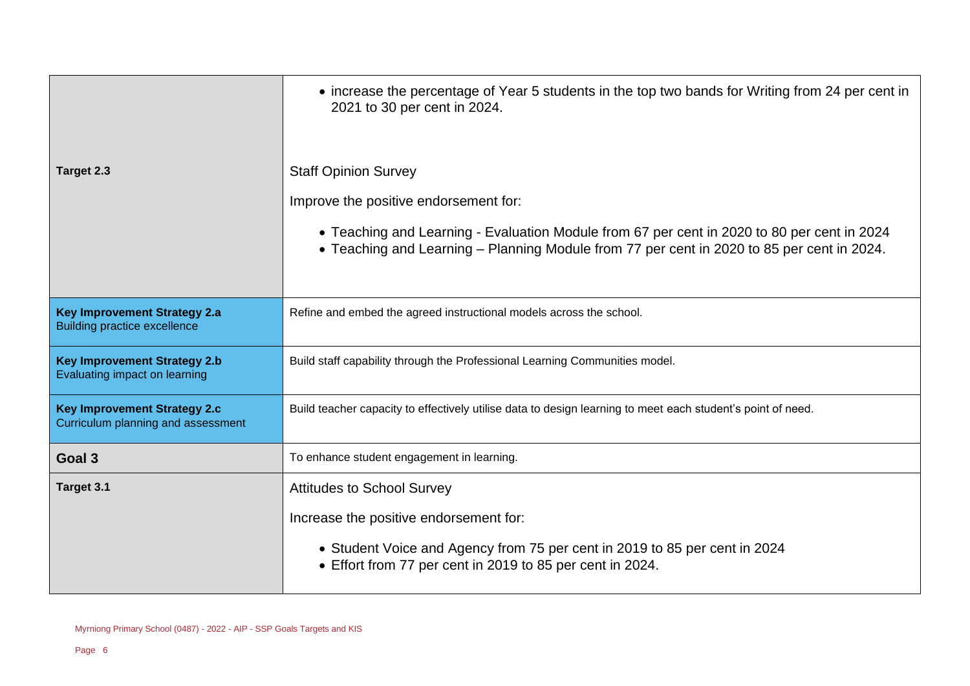|                                                                            | • increase the percentage of Year 5 students in the top two bands for Writing from 24 per cent in<br>2021 to 30 per cent in 2024.                                                                                                                                 |  |
|----------------------------------------------------------------------------|-------------------------------------------------------------------------------------------------------------------------------------------------------------------------------------------------------------------------------------------------------------------|--|
| Target 2.3                                                                 | <b>Staff Opinion Survey</b><br>Improve the positive endorsement for:<br>• Teaching and Learning - Evaluation Module from 67 per cent in 2020 to 80 per cent in 2024<br>• Teaching and Learning - Planning Module from 77 per cent in 2020 to 85 per cent in 2024. |  |
| <b>Key Improvement Strategy 2.a</b><br><b>Building practice excellence</b> | Refine and embed the agreed instructional models across the school.                                                                                                                                                                                               |  |
| <b>Key Improvement Strategy 2.b</b><br>Evaluating impact on learning       | Build staff capability through the Professional Learning Communities model.                                                                                                                                                                                       |  |
| <b>Key Improvement Strategy 2.c</b><br>Curriculum planning and assessment  | Build teacher capacity to effectively utilise data to design learning to meet each student's point of need.                                                                                                                                                       |  |
| Goal 3                                                                     | To enhance student engagement in learning.                                                                                                                                                                                                                        |  |
| Target 3.1                                                                 | <b>Attitudes to School Survey</b>                                                                                                                                                                                                                                 |  |
|                                                                            | Increase the positive endorsement for:                                                                                                                                                                                                                            |  |
|                                                                            | • Student Voice and Agency from 75 per cent in 2019 to 85 per cent in 2024<br>• Effort from 77 per cent in 2019 to 85 per cent in 2024.                                                                                                                           |  |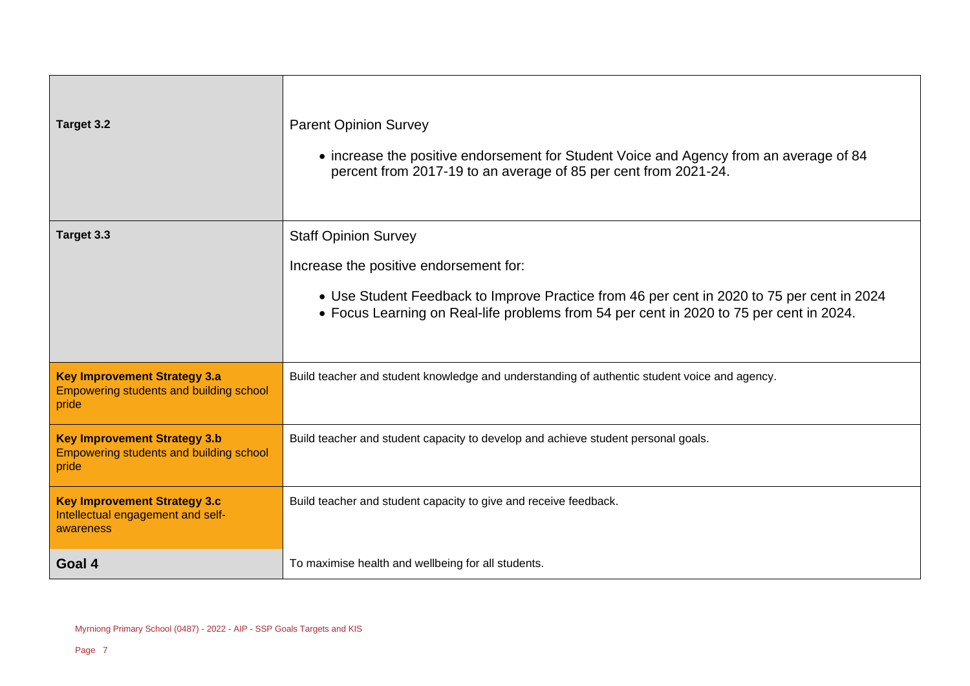| Target 3.2                                                                                     | <b>Parent Opinion Survey</b><br>• increase the positive endorsement for Student Voice and Agency from an average of 84<br>percent from 2017-19 to an average of 85 per cent from 2021-24.                                                                      |
|------------------------------------------------------------------------------------------------|----------------------------------------------------------------------------------------------------------------------------------------------------------------------------------------------------------------------------------------------------------------|
| Target 3.3                                                                                     | <b>Staff Opinion Survey</b><br>Increase the positive endorsement for:<br>• Use Student Feedback to Improve Practice from 46 per cent in 2020 to 75 per cent in 2024<br>• Focus Learning on Real-life problems from 54 per cent in 2020 to 75 per cent in 2024. |
| <b>Key Improvement Strategy 3.a</b><br><b>Empowering students and building school</b><br>pride | Build teacher and student knowledge and understanding of authentic student voice and agency.                                                                                                                                                                   |
| <b>Key Improvement Strategy 3.b</b><br><b>Empowering students and building school</b><br>pride | Build teacher and student capacity to develop and achieve student personal goals.                                                                                                                                                                              |
| <b>Key Improvement Strategy 3.c</b><br>Intellectual engagement and self-<br>awareness          | Build teacher and student capacity to give and receive feedback.                                                                                                                                                                                               |
| Goal 4                                                                                         | To maximise health and wellbeing for all students.                                                                                                                                                                                                             |

 $\overline{\phantom{a}}$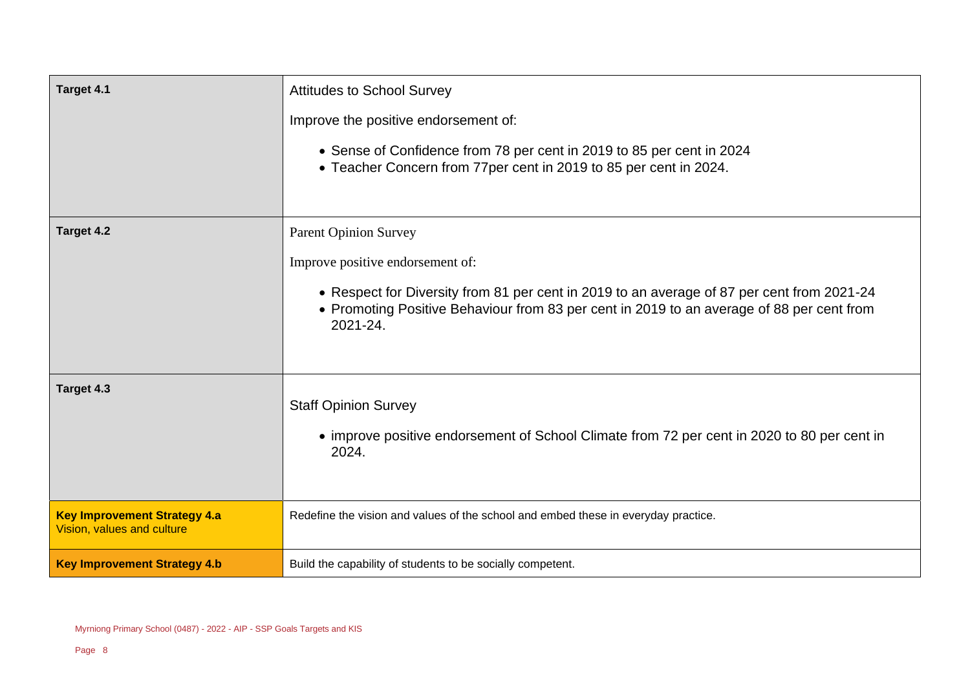| Target 4.1                                                        | <b>Attitudes to School Survey</b><br>Improve the positive endorsement of:<br>• Sense of Confidence from 78 per cent in 2019 to 85 per cent in 2024<br>• Teacher Concern from 77per cent in 2019 to 85 per cent in 2024.                                                 |
|-------------------------------------------------------------------|-------------------------------------------------------------------------------------------------------------------------------------------------------------------------------------------------------------------------------------------------------------------------|
| Target 4.2                                                        | <b>Parent Opinion Survey</b><br>Improve positive endorsement of:<br>• Respect for Diversity from 81 per cent in 2019 to an average of 87 per cent from 2021-24<br>• Promoting Positive Behaviour from 83 per cent in 2019 to an average of 88 per cent from<br>2021-24. |
| Target 4.3                                                        | <b>Staff Opinion Survey</b><br>• improve positive endorsement of School Climate from 72 per cent in 2020 to 80 per cent in<br>2024.                                                                                                                                     |
| <b>Key Improvement Strategy 4.a</b><br>Vision, values and culture | Redefine the vision and values of the school and embed these in everyday practice.                                                                                                                                                                                      |
| <b>Key Improvement Strategy 4.b</b>                               | Build the capability of students to be socially competent.                                                                                                                                                                                                              |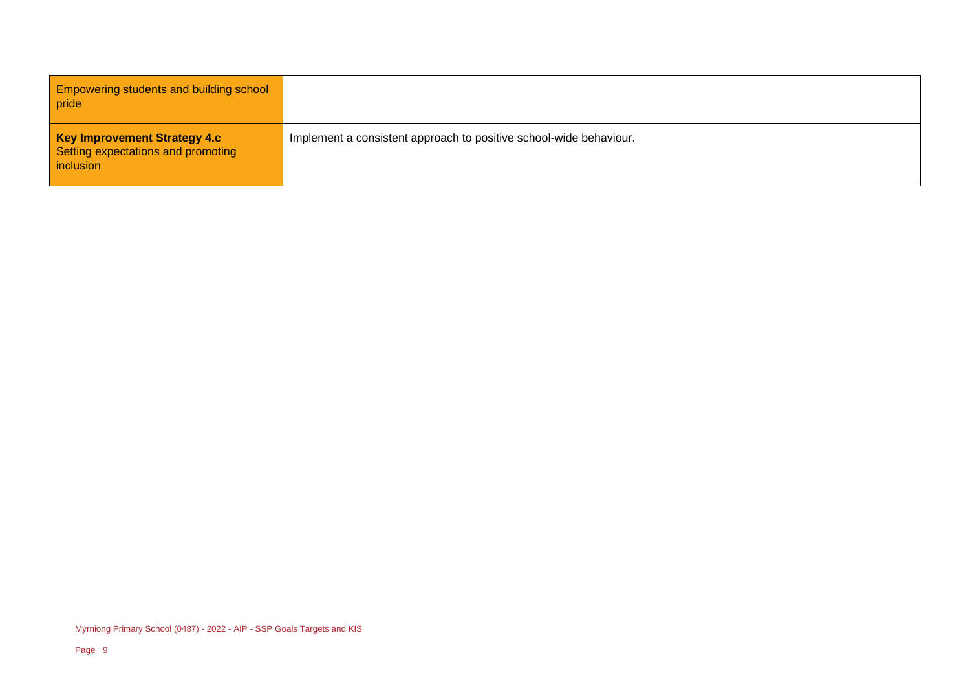Empowering students and building school pride

**Key Improvement Strategy 4.c** Setting expectations and promoting inclusion

Implement a consistent approach to positive school-wide behaviour.

Myrniong Primary School (0487) - 2022 - AIP - SSP Goals Targets and KIS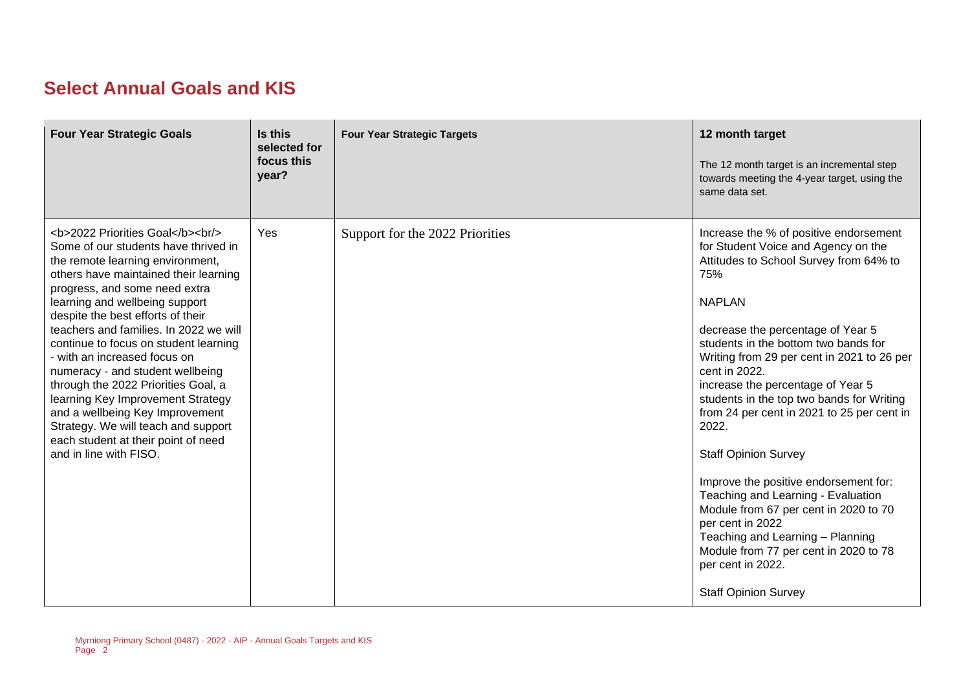### **Select Annual Goals and KIS**

| <b>Four Year Strategic Goals</b>                                                                                                                                                              | Is this<br>selected for<br>focus this<br>year? | <b>Four Year Strategic Targets</b> | 12 month target<br>The 12 month target is an incremental step<br>towards meeting the 4-year target, using the<br>same data set.                                                                                                                                                                                                                                                                                                                                                                                                                                                                                                                                                                                                                  |
|-----------------------------------------------------------------------------------------------------------------------------------------------------------------------------------------------|------------------------------------------------|------------------------------------|--------------------------------------------------------------------------------------------------------------------------------------------------------------------------------------------------------------------------------------------------------------------------------------------------------------------------------------------------------------------------------------------------------------------------------------------------------------------------------------------------------------------------------------------------------------------------------------------------------------------------------------------------------------------------------------------------------------------------------------------------|
| <b>2022 Priorities Goal</b><br><br><br>Some of our students have thrived in<br>the remote learning environment,<br>others have maintained their learning<br>progress, and some need extra<br> | Yes                                            | Support for the 2022 Priorities    | Increase the % of positive endorsement<br>for Student Voice and Agency on the<br>Attitudes to School Survey from 64% to<br>75%<br><b>NAPLAN</b><br>decrease the percentage of Year 5<br>students in the bottom two bands for<br>Writing from 29 per cent in 2021 to 26 per<br>cent in 2022.<br>increase the percentage of Year 5<br>students in the top two bands for Writing<br>from 24 per cent in 2021 to 25 per cent in<br>2022.<br><b>Staff Opinion Survey</b><br>Improve the positive endorsement for:<br>Teaching and Learning - Evaluation<br>Module from 67 per cent in 2020 to 70<br>per cent in 2022<br>Teaching and Learning - Planning<br>Module from 77 per cent in 2020 to 78<br>per cent in 2022.<br><b>Staff Opinion Survey</b> |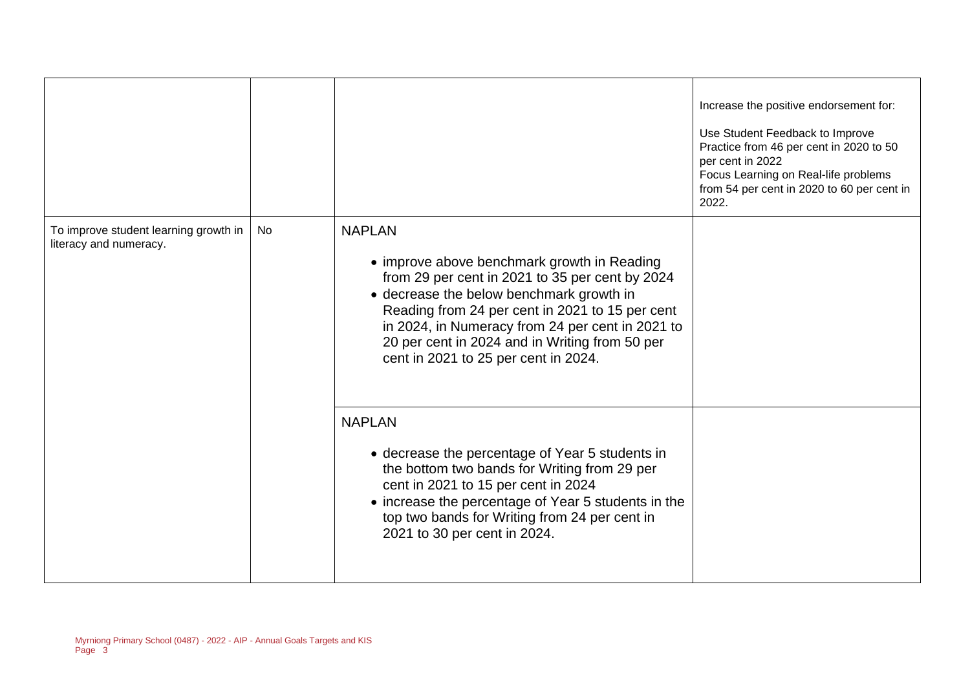|                                                                 |    |                                                                                                                                                                                                                                                                                                                                                              | Increase the positive endorsement for:<br>Use Student Feedback to Improve<br>Practice from 46 per cent in 2020 to 50<br>per cent in 2022<br>Focus Learning on Real-life problems<br>from 54 per cent in 2020 to 60 per cent in<br>2022. |
|-----------------------------------------------------------------|----|--------------------------------------------------------------------------------------------------------------------------------------------------------------------------------------------------------------------------------------------------------------------------------------------------------------------------------------------------------------|-----------------------------------------------------------------------------------------------------------------------------------------------------------------------------------------------------------------------------------------|
| To improve student learning growth in<br>literacy and numeracy. | No | <b>NAPLAN</b><br>• improve above benchmark growth in Reading<br>from 29 per cent in 2021 to 35 per cent by 2024<br>• decrease the below benchmark growth in<br>Reading from 24 per cent in 2021 to 15 per cent<br>in 2024, in Numeracy from 24 per cent in 2021 to<br>20 per cent in 2024 and in Writing from 50 per<br>cent in 2021 to 25 per cent in 2024. |                                                                                                                                                                                                                                         |
|                                                                 |    | <b>NAPLAN</b><br>• decrease the percentage of Year 5 students in<br>the bottom two bands for Writing from 29 per<br>cent in 2021 to 15 per cent in 2024<br>• increase the percentage of Year 5 students in the<br>top two bands for Writing from 24 per cent in<br>2021 to 30 per cent in 2024.                                                              |                                                                                                                                                                                                                                         |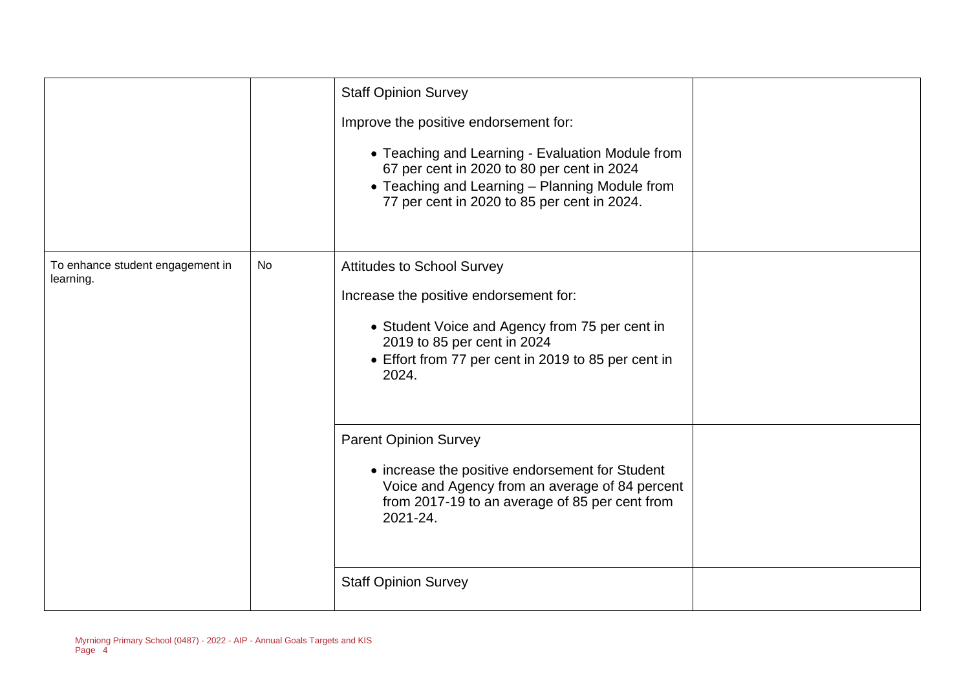|                                               |    | <b>Staff Opinion Survey</b><br>Improve the positive endorsement for:<br>• Teaching and Learning - Evaluation Module from<br>67 per cent in 2020 to 80 per cent in 2024<br>• Teaching and Learning - Planning Module from<br>77 per cent in 2020 to 85 per cent in 2024. |  |
|-----------------------------------------------|----|-------------------------------------------------------------------------------------------------------------------------------------------------------------------------------------------------------------------------------------------------------------------------|--|
| To enhance student engagement in<br>learning. | No | Attitudes to School Survey<br>Increase the positive endorsement for:<br>• Student Voice and Agency from 75 per cent in<br>2019 to 85 per cent in 2024<br>• Effort from 77 per cent in 2019 to 85 per cent in<br>2024.                                                   |  |
|                                               |    | <b>Parent Opinion Survey</b><br>• increase the positive endorsement for Student<br>Voice and Agency from an average of 84 percent<br>from 2017-19 to an average of 85 per cent from<br>2021-24.<br><b>Staff Opinion Survey</b>                                          |  |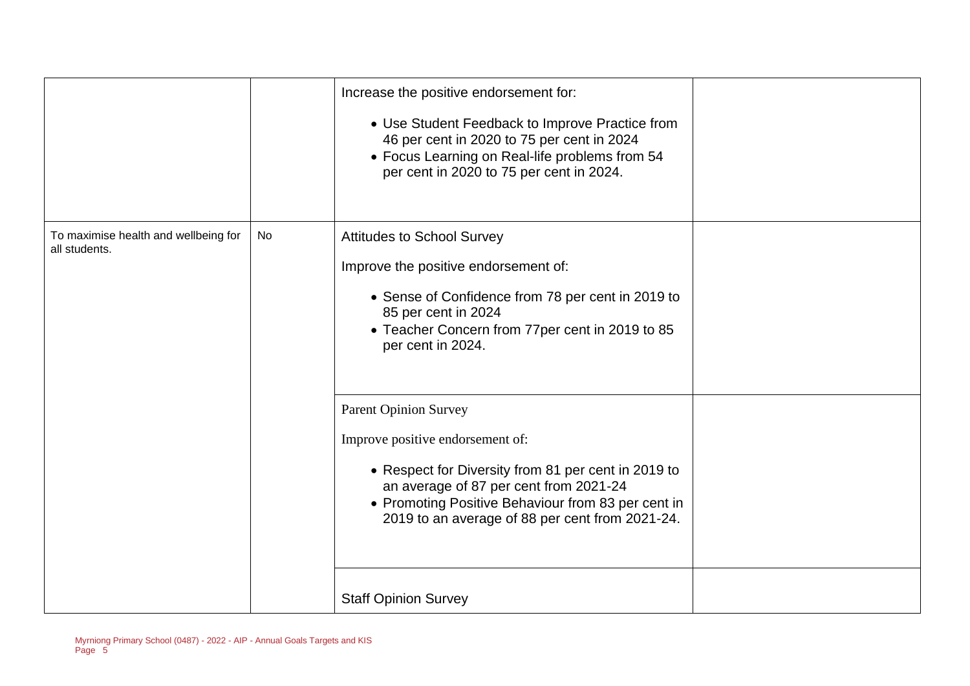|                                                       |    | Increase the positive endorsement for:<br>• Use Student Feedback to Improve Practice from<br>46 per cent in 2020 to 75 per cent in 2024<br>• Focus Learning on Real-life problems from 54<br>per cent in 2020 to 75 per cent in 2024.                                      |  |
|-------------------------------------------------------|----|----------------------------------------------------------------------------------------------------------------------------------------------------------------------------------------------------------------------------------------------------------------------------|--|
| To maximise health and wellbeing for<br>all students. | No | <b>Attitudes to School Survey</b><br>Improve the positive endorsement of:<br>• Sense of Confidence from 78 per cent in 2019 to<br>85 per cent in 2024<br>• Teacher Concern from 77per cent in 2019 to 85<br>per cent in 2024.                                              |  |
|                                                       |    | <b>Parent Opinion Survey</b><br>Improve positive endorsement of:<br>• Respect for Diversity from 81 per cent in 2019 to<br>an average of 87 per cent from 2021-24<br>• Promoting Positive Behaviour from 83 per cent in<br>2019 to an average of 88 per cent from 2021-24. |  |
|                                                       |    | <b>Staff Opinion Survey</b>                                                                                                                                                                                                                                                |  |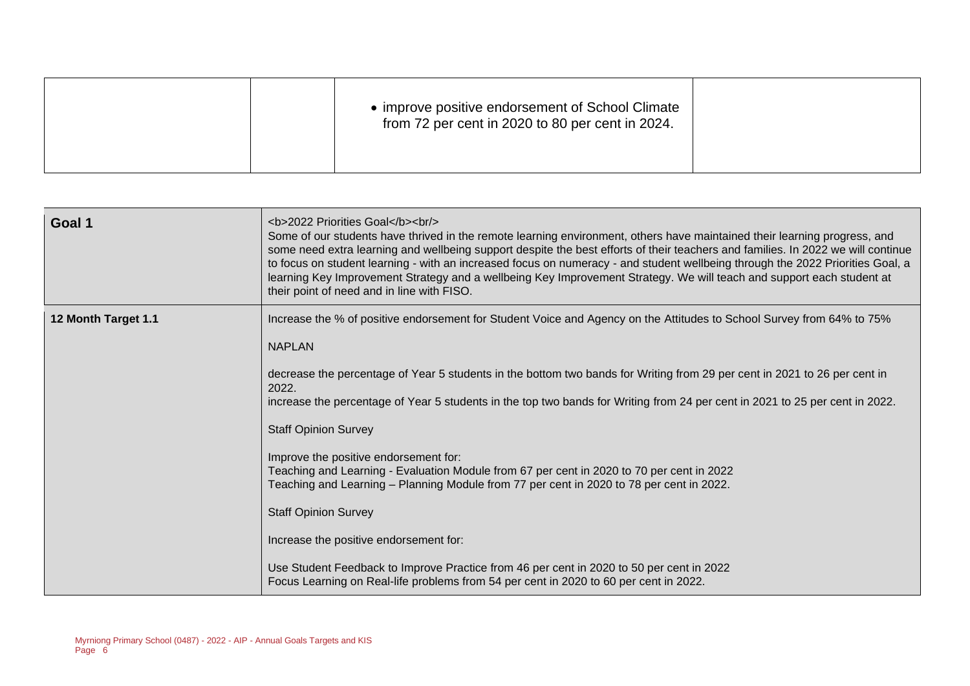|  |  | • improve positive endorsement of School Climate<br>from 72 per cent in 2020 to 80 per cent in 2024. |  |
|--|--|------------------------------------------------------------------------------------------------------|--|
|--|--|------------------------------------------------------------------------------------------------------|--|

| Goal 1              | <b>2022 Priorities Goal</b><br><br><br>Some of our students have thrived in the remote learning environment, others have maintained their learning progress, and<br>some need extra learning and wellbeing support despite the best efforts of their teachers and families. In 2022 we will continue<br>to focus on student learning - with an increased focus on numeracy - and student wellbeing through the 2022 Priorities Goal, a<br>learning Key Improvement Strategy and a wellbeing Key Improvement Strategy. We will teach and support each student at<br>their point of need and in line with FISO. |
|---------------------|---------------------------------------------------------------------------------------------------------------------------------------------------------------------------------------------------------------------------------------------------------------------------------------------------------------------------------------------------------------------------------------------------------------------------------------------------------------------------------------------------------------------------------------------------------------------------------------------------------------|
| 12 Month Target 1.1 | Increase the % of positive endorsement for Student Voice and Agency on the Attitudes to School Survey from 64% to 75%<br><b>NAPLAN</b>                                                                                                                                                                                                                                                                                                                                                                                                                                                                        |
|                     | decrease the percentage of Year 5 students in the bottom two bands for Writing from 29 per cent in 2021 to 26 per cent in                                                                                                                                                                                                                                                                                                                                                                                                                                                                                     |
|                     | 2022.<br>increase the percentage of Year 5 students in the top two bands for Writing from 24 per cent in 2021 to 25 per cent in 2022.                                                                                                                                                                                                                                                                                                                                                                                                                                                                         |
|                     | <b>Staff Opinion Survey</b>                                                                                                                                                                                                                                                                                                                                                                                                                                                                                                                                                                                   |
|                     | Improve the positive endorsement for:<br>Teaching and Learning - Evaluation Module from 67 per cent in 2020 to 70 per cent in 2022<br>Teaching and Learning – Planning Module from 77 per cent in 2020 to 78 per cent in 2022.                                                                                                                                                                                                                                                                                                                                                                                |
|                     | <b>Staff Opinion Survey</b>                                                                                                                                                                                                                                                                                                                                                                                                                                                                                                                                                                                   |
|                     | Increase the positive endorsement for:                                                                                                                                                                                                                                                                                                                                                                                                                                                                                                                                                                        |
|                     | Use Student Feedback to Improve Practice from 46 per cent in 2020 to 50 per cent in 2022<br>Focus Learning on Real-life problems from 54 per cent in 2020 to 60 per cent in 2022.                                                                                                                                                                                                                                                                                                                                                                                                                             |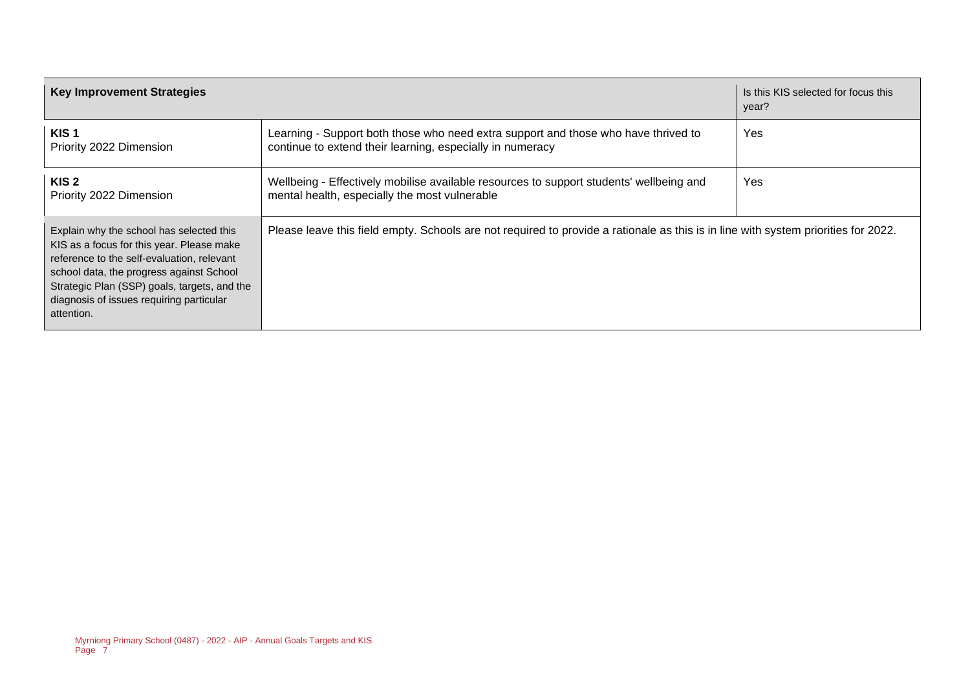| <b>Key Improvement Strategies</b>                                                                                                                                                                                                                                                         |                                                                                                                                                 | Is this KIS selected for focus this<br>year? |
|-------------------------------------------------------------------------------------------------------------------------------------------------------------------------------------------------------------------------------------------------------------------------------------------|-------------------------------------------------------------------------------------------------------------------------------------------------|----------------------------------------------|
| KIS <sub>1</sub><br>Priority 2022 Dimension                                                                                                                                                                                                                                               | Learning - Support both those who need extra support and those who have thrived to<br>continue to extend their learning, especially in numeracy | Yes                                          |
| KIS <sub>2</sub><br>Priority 2022 Dimension                                                                                                                                                                                                                                               | Wellbeing - Effectively mobilise available resources to support students' wellbeing and<br>mental health, especially the most vulnerable        | Yes                                          |
| Explain why the school has selected this<br>KIS as a focus for this year. Please make<br>reference to the self-evaluation, relevant<br>school data, the progress against School<br>Strategic Plan (SSP) goals, targets, and the<br>diagnosis of issues requiring particular<br>attention. | Please leave this field empty. Schools are not required to provide a rationale as this is in line with system priorities for 2022.              |                                              |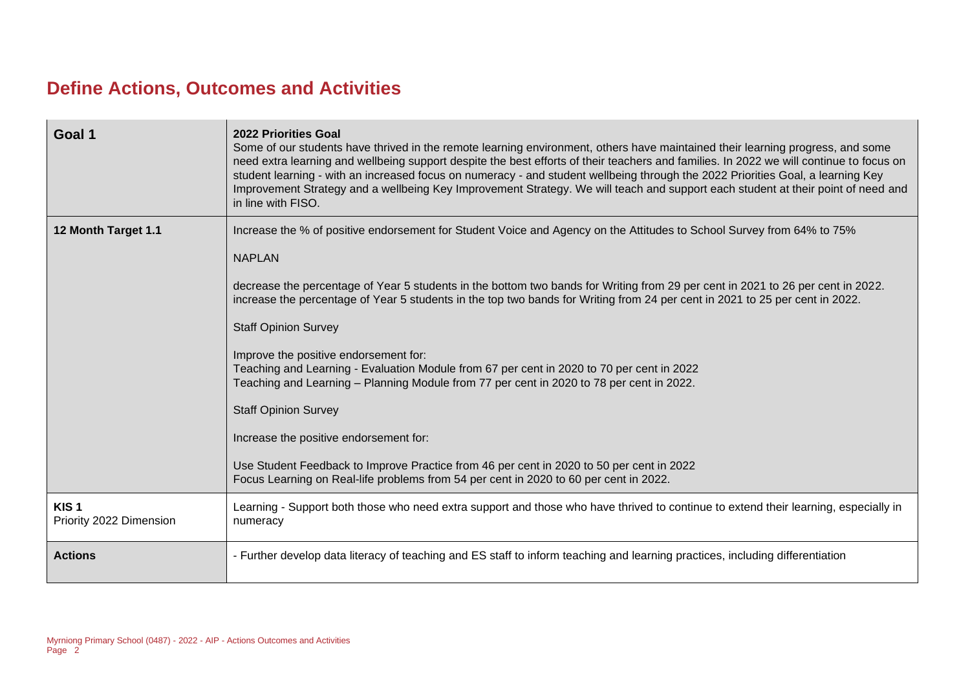### **Define Actions, Outcomes and Activities**

| Goal 1                                      | <b>2022 Priorities Goal</b><br>Some of our students have thrived in the remote learning environment, others have maintained their learning progress, and some<br>need extra learning and wellbeing support despite the best efforts of their teachers and families. In 2022 we will continue to focus on<br>student learning - with an increased focus on numeracy - and student wellbeing through the 2022 Priorities Goal, a learning Key<br>Improvement Strategy and a wellbeing Key Improvement Strategy. We will teach and support each student at their point of need and<br>in line with FISO.                                                                                                                                                                                                                                                                                                                                    |
|---------------------------------------------|------------------------------------------------------------------------------------------------------------------------------------------------------------------------------------------------------------------------------------------------------------------------------------------------------------------------------------------------------------------------------------------------------------------------------------------------------------------------------------------------------------------------------------------------------------------------------------------------------------------------------------------------------------------------------------------------------------------------------------------------------------------------------------------------------------------------------------------------------------------------------------------------------------------------------------------|
| 12 Month Target 1.1                         | Increase the % of positive endorsement for Student Voice and Agency on the Attitudes to School Survey from 64% to 75%<br><b>NAPLAN</b><br>decrease the percentage of Year 5 students in the bottom two bands for Writing from 29 per cent in 2021 to 26 per cent in 2022.<br>increase the percentage of Year 5 students in the top two bands for Writing from 24 per cent in 2021 to 25 per cent in 2022.<br><b>Staff Opinion Survey</b><br>Improve the positive endorsement for:<br>Teaching and Learning - Evaluation Module from 67 per cent in 2020 to 70 per cent in 2022<br>Teaching and Learning – Planning Module from 77 per cent in 2020 to 78 per cent in 2022.<br><b>Staff Opinion Survey</b><br>Increase the positive endorsement for:<br>Use Student Feedback to Improve Practice from 46 per cent in 2020 to 50 per cent in 2022<br>Focus Learning on Real-life problems from 54 per cent in 2020 to 60 per cent in 2022. |
|                                             |                                                                                                                                                                                                                                                                                                                                                                                                                                                                                                                                                                                                                                                                                                                                                                                                                                                                                                                                          |
| KIS <sub>1</sub><br>Priority 2022 Dimension | Learning - Support both those who need extra support and those who have thrived to continue to extend their learning, especially in<br>numeracy                                                                                                                                                                                                                                                                                                                                                                                                                                                                                                                                                                                                                                                                                                                                                                                          |
| <b>Actions</b>                              | - Further develop data literacy of teaching and ES staff to inform teaching and learning practices, including differentiation                                                                                                                                                                                                                                                                                                                                                                                                                                                                                                                                                                                                                                                                                                                                                                                                            |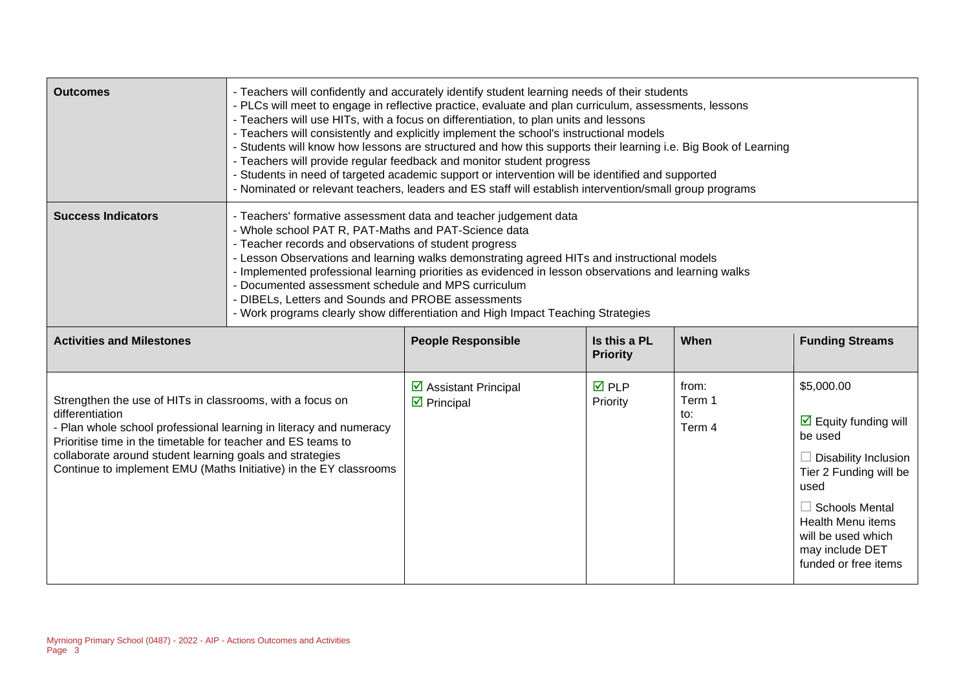| <b>Outcomes</b>                                                                                                                                                                                                                                                                | - Teachers will confidently and accurately identify student learning needs of their students<br>- PLCs will meet to engage in reflective practice, evaluate and plan curriculum, assessments, lessons<br>- Teachers will use HITs, with a focus on differentiation, to plan units and lessons<br>- Teachers will consistently and explicitly implement the school's instructional models<br>- Students will know how lessons are structured and how this supports their learning i.e. Big Book of Learning<br>- Teachers will provide regular feedback and monitor student progress<br>- Students in need of targeted academic support or intervention will be identified and supported<br>- Nominated or relevant teachers, leaders and ES staff will establish intervention/small group programs |                                                            |                                 |                                  |                                                                                                                                                                                                                                               |
|--------------------------------------------------------------------------------------------------------------------------------------------------------------------------------------------------------------------------------------------------------------------------------|----------------------------------------------------------------------------------------------------------------------------------------------------------------------------------------------------------------------------------------------------------------------------------------------------------------------------------------------------------------------------------------------------------------------------------------------------------------------------------------------------------------------------------------------------------------------------------------------------------------------------------------------------------------------------------------------------------------------------------------------------------------------------------------------------|------------------------------------------------------------|---------------------------------|----------------------------------|-----------------------------------------------------------------------------------------------------------------------------------------------------------------------------------------------------------------------------------------------|
| <b>Success Indicators</b>                                                                                                                                                                                                                                                      | - Teachers' formative assessment data and teacher judgement data<br>- Whole school PAT R, PAT-Maths and PAT-Science data<br>- Teacher records and observations of student progress<br>- Lesson Observations and learning walks demonstrating agreed HITs and instructional models<br>- Implemented professional learning priorities as evidenced in lesson observations and learning walks<br>- Documented assessment schedule and MPS curriculum<br>- DIBELs, Letters and Sounds and PROBE assessments<br>- Work programs clearly show differentiation and High Impact Teaching Strategies                                                                                                                                                                                                        |                                                            |                                 |                                  |                                                                                                                                                                                                                                               |
| <b>Activities and Milestones</b>                                                                                                                                                                                                                                               |                                                                                                                                                                                                                                                                                                                                                                                                                                                                                                                                                                                                                                                                                                                                                                                                    | <b>People Responsible</b>                                  | Is this a PL<br><b>Priority</b> | When                             | <b>Funding Streams</b>                                                                                                                                                                                                                        |
| Strengthen the use of HITs in classrooms, with a focus on<br>differentiation<br>- Plan whole school professional learning in literacy and numeracy<br>Prioritise time in the timetable for teacher and ES teams to<br>collaborate around student learning goals and strategies | Continue to implement EMU (Maths Initiative) in the EY classrooms                                                                                                                                                                                                                                                                                                                                                                                                                                                                                                                                                                                                                                                                                                                                  | ☑ Assistant Principal<br>$\overline{\mathbf{z}}$ Principal | <b>☑</b> PLP<br>Priority        | from:<br>Term 1<br>to:<br>Term 4 | \$5,000.00<br>$\triangleright$ Equity funding will<br>be used<br>Disability Inclusion<br>Tier 2 Funding will be<br>used<br><b>Schools Mental</b><br><b>Health Menu items</b><br>will be used which<br>may include DET<br>funded or free items |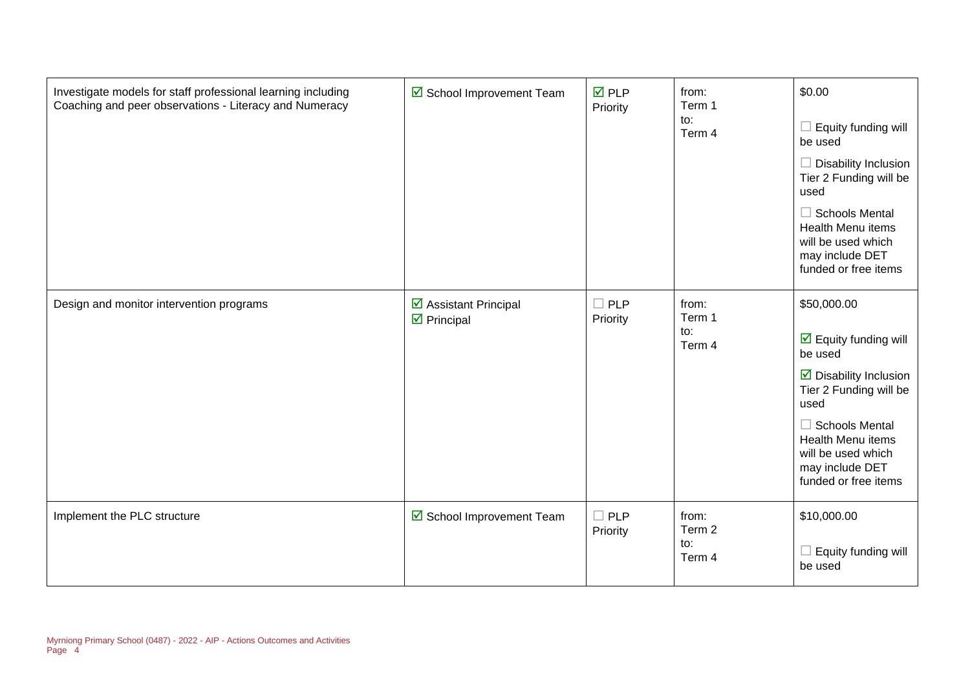| Investigate models for staff professional learning including<br>Coaching and peer observations - Literacy and Numeracy | ☑ School Improvement Team                                     | $\overline{M}$ PLP<br>Priority | from:<br>Term 1<br>to:<br>Term 4 | \$0.00<br>$\Box$ Equity funding will<br>be used<br>$\Box$ Disability Inclusion<br>Tier 2 Funding will be<br>used<br>$\Box$ Schools Mental<br>Health Menu items<br>will be used which<br>may include DET<br>funded or free items                                 |
|------------------------------------------------------------------------------------------------------------------------|---------------------------------------------------------------|--------------------------------|----------------------------------|-----------------------------------------------------------------------------------------------------------------------------------------------------------------------------------------------------------------------------------------------------------------|
| Design and monitor intervention programs                                                                               | $\triangleright$ Assistant Principal<br>$\boxtimes$ Principal | $\Box$ PLP<br>Priority         | from:<br>Term 1<br>to:<br>Term 4 | \$50,000.00<br>$\overline{\mathbf{y}}$ Equity funding will<br>be used<br>$\triangleright$ Disability Inclusion<br>Tier 2 Funding will be<br>used<br>$\Box$ Schools Mental<br>Health Menu items<br>will be used which<br>may include DET<br>funded or free items |
| Implement the PLC structure                                                                                            | ☑ School Improvement Team                                     | $\Box$ PLP<br>Priority         | from:<br>Term 2<br>to:<br>Term 4 | \$10,000.00<br>$\Box$ Equity funding will<br>be used                                                                                                                                                                                                            |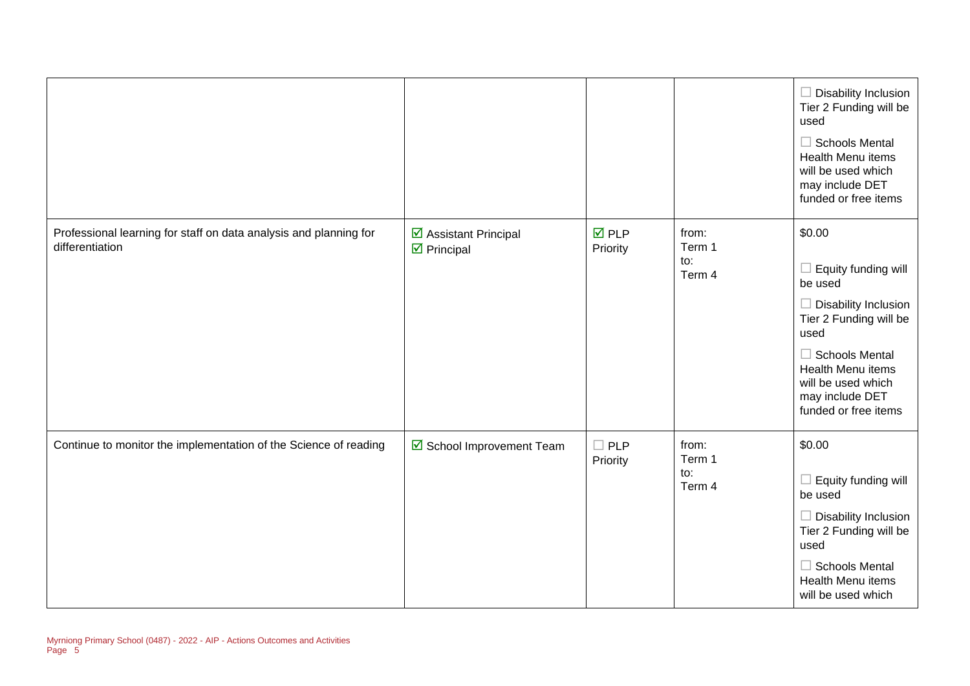|                                                                                      |                                                     |                          |                                  | $\Box$ Disability Inclusion<br>Tier 2 Funding will be<br>used<br>$\Box$ Schools Mental<br>Health Menu items<br>will be used which<br>may include DET<br>funded or free items                                                    |
|--------------------------------------------------------------------------------------|-----------------------------------------------------|--------------------------|----------------------------------|---------------------------------------------------------------------------------------------------------------------------------------------------------------------------------------------------------------------------------|
| Professional learning for staff on data analysis and planning for<br>differentiation | ☑ Assistant Principal<br>$\triangleright$ Principal | $\nabla$ PLP<br>Priority | from:<br>Term 1<br>to:<br>Term 4 | \$0.00<br>$\Box$ Equity funding will<br>be used<br>$\Box$ Disability Inclusion<br>Tier 2 Funding will be<br>used<br>$\Box$ Schools Mental<br>Health Menu items<br>will be used which<br>may include DET<br>funded or free items |
| Continue to monitor the implementation of the Science of reading                     | School Improvement Team                             | $\Box$ PLP<br>Priority   | from:<br>Term 1<br>to:<br>Term 4 | \$0.00<br>$\Box$ Equity funding will<br>be used<br>$\Box$ Disability Inclusion<br>Tier 2 Funding will be<br>used<br>$\Box$ Schools Mental<br><b>Health Menu items</b><br>will be used which                                     |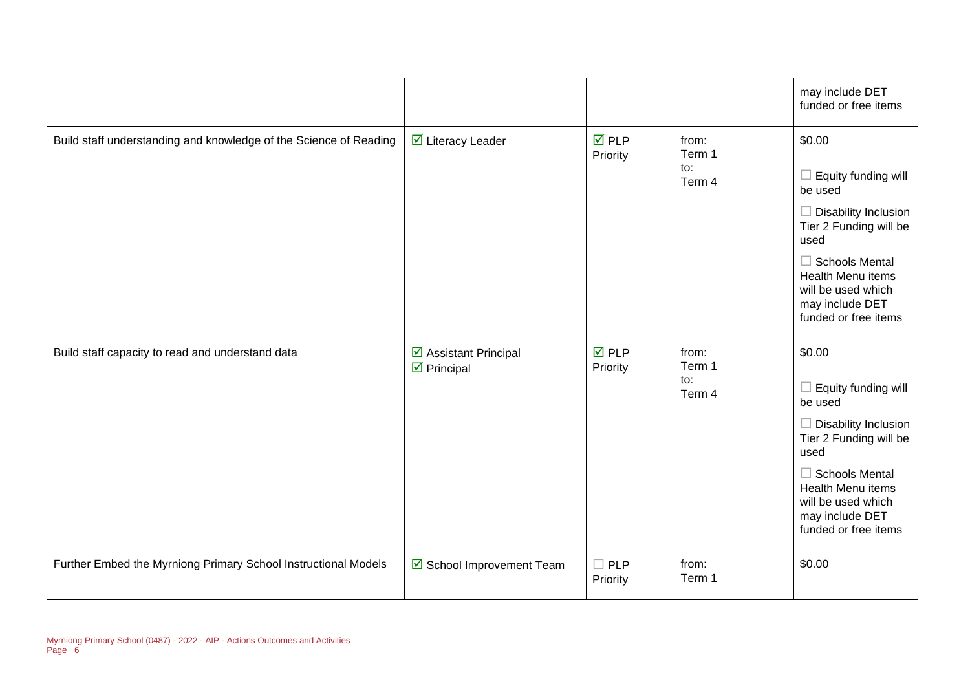|                                                                   |                                                                           |                                |                                  | may include DET<br>funded or free items                                                                                                                                                                                                |
|-------------------------------------------------------------------|---------------------------------------------------------------------------|--------------------------------|----------------------------------|----------------------------------------------------------------------------------------------------------------------------------------------------------------------------------------------------------------------------------------|
| Build staff understanding and knowledge of the Science of Reading | ☑ Literacy Leader                                                         | $\overline{M}$ PLP<br>Priority | from:<br>Term 1<br>to:<br>Term 4 | \$0.00<br>$\Box$ Equity funding will<br>be used<br>$\Box$ Disability Inclusion<br>Tier 2 Funding will be<br>used<br>$\Box$ Schools Mental<br><b>Health Menu items</b><br>will be used which<br>may include DET<br>funded or free items |
| Build staff capacity to read and understand data                  | $\overline{\mathbf{y}}$ Assistant Principal<br>$\triangleright$ Principal | $\overline{M}$ PLP<br>Priority | from:<br>Term 1<br>to:<br>Term 4 | \$0.00<br>$\Box$ Equity funding will<br>be used<br>$\Box$ Disability Inclusion<br>Tier 2 Funding will be<br>used<br>$\Box$ Schools Mental<br><b>Health Menu items</b><br>will be used which<br>may include DET<br>funded or free items |
| Further Embed the Myrniong Primary School Instructional Models    | School Improvement Team                                                   | $\square$ PLP<br>Priority      | from:<br>Term 1                  | \$0.00                                                                                                                                                                                                                                 |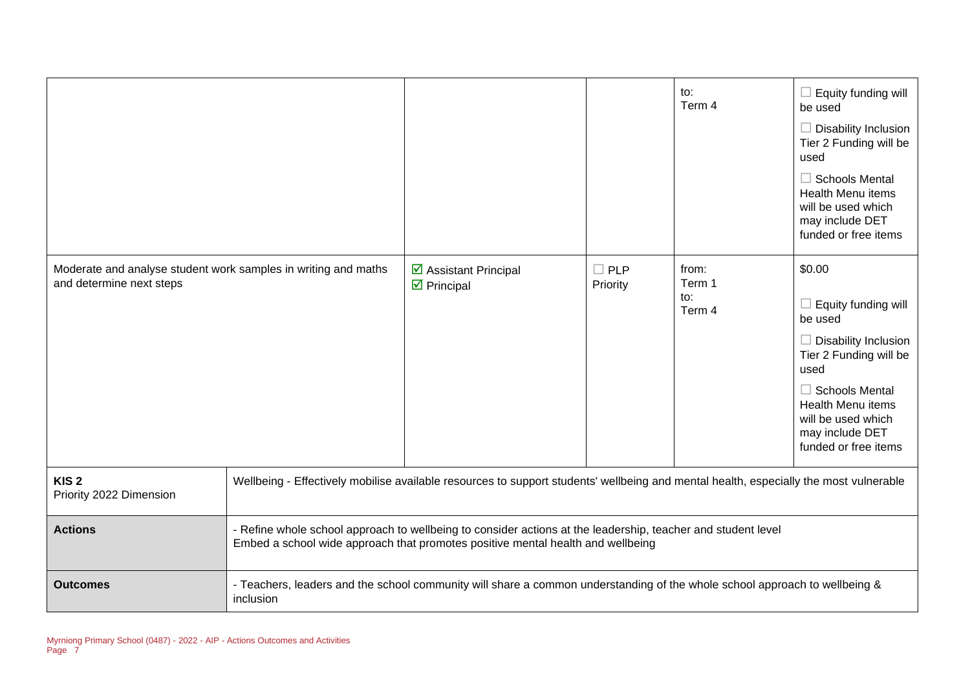|                                                                                            |                                                                                                                                                                                                 |                                                                                                                            |                           | to:<br>Term 4                    | $\Box$ Equity funding will<br>be used<br>$\Box$ Disability Inclusion<br>Tier 2 Funding will be<br>used<br>$\Box$ Schools Mental<br><b>Health Menu items</b><br>will be used which<br>may include DET<br>funded or free items           |  |
|--------------------------------------------------------------------------------------------|-------------------------------------------------------------------------------------------------------------------------------------------------------------------------------------------------|----------------------------------------------------------------------------------------------------------------------------|---------------------------|----------------------------------|----------------------------------------------------------------------------------------------------------------------------------------------------------------------------------------------------------------------------------------|--|
| Moderate and analyse student work samples in writing and maths<br>and determine next steps |                                                                                                                                                                                                 | ☑ Assistant Principal<br>$\triangleright$ Principal                                                                        | $\square$ PLP<br>Priority | from:<br>Term 1<br>to:<br>Term 4 | \$0.00<br>$\Box$ Equity funding will<br>be used<br>$\Box$ Disability Inclusion<br>Tier 2 Funding will be<br>used<br>$\Box$ Schools Mental<br><b>Health Menu items</b><br>will be used which<br>may include DET<br>funded or free items |  |
| KIS <sub>2</sub><br>Priority 2022 Dimension                                                | Wellbeing - Effectively mobilise available resources to support students' wellbeing and mental health, especially the most vulnerable                                                           |                                                                                                                            |                           |                                  |                                                                                                                                                                                                                                        |  |
| <b>Actions</b>                                                                             | - Refine whole school approach to wellbeing to consider actions at the leadership, teacher and student level<br>Embed a school wide approach that promotes positive mental health and wellbeing |                                                                                                                            |                           |                                  |                                                                                                                                                                                                                                        |  |
| <b>Outcomes</b>                                                                            | inclusion                                                                                                                                                                                       | - Teachers, leaders and the school community will share a common understanding of the whole school approach to wellbeing & |                           |                                  |                                                                                                                                                                                                                                        |  |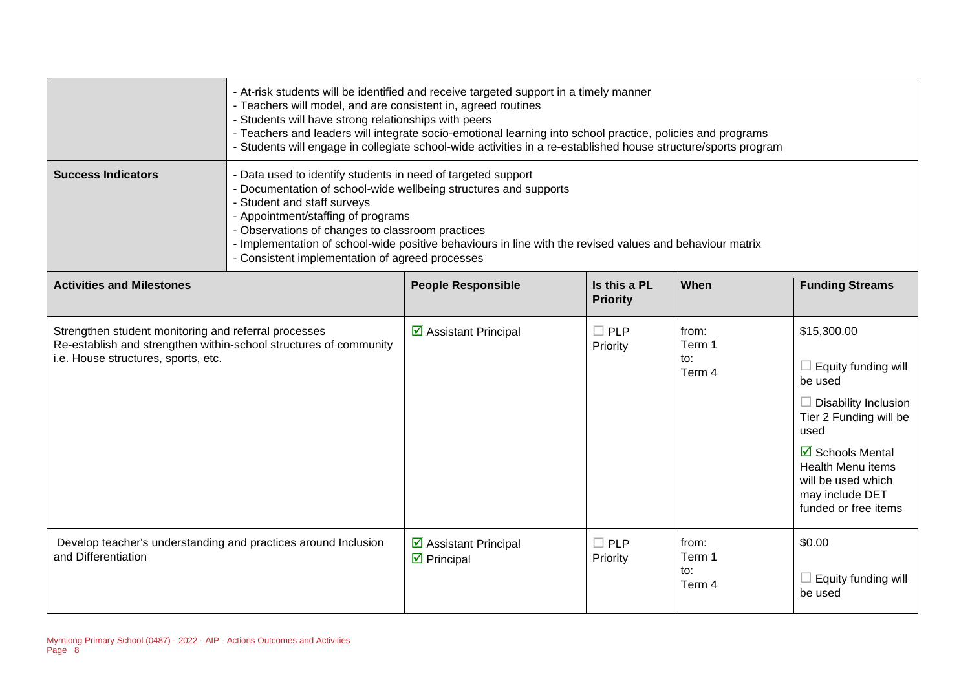|                                                                                                                                                                  | - At-risk students will be identified and receive targeted support in a timely manner<br>- Teachers will model, and are consistent in, agreed routines<br>- Students will have strong relationships with peers<br>- Teachers and leaders will integrate socio-emotional learning into school practice, policies and programs<br>- Students will engage in collegiate school-wide activities in a re-established house structure/sports program |                                                |                                 |                                  |                                                                                                                                                                                                                                           |
|------------------------------------------------------------------------------------------------------------------------------------------------------------------|------------------------------------------------------------------------------------------------------------------------------------------------------------------------------------------------------------------------------------------------------------------------------------------------------------------------------------------------------------------------------------------------------------------------------------------------|------------------------------------------------|---------------------------------|----------------------------------|-------------------------------------------------------------------------------------------------------------------------------------------------------------------------------------------------------------------------------------------|
| <b>Success Indicators</b>                                                                                                                                        | - Data used to identify students in need of targeted support<br>- Documentation of school-wide wellbeing structures and supports<br>- Student and staff surveys<br>- Appointment/staffing of programs<br>- Observations of changes to classroom practices<br>- Implementation of school-wide positive behaviours in line with the revised values and behaviour matrix<br>- Consistent implementation of agreed processes                       |                                                |                                 |                                  |                                                                                                                                                                                                                                           |
| <b>Activities and Milestones</b>                                                                                                                                 |                                                                                                                                                                                                                                                                                                                                                                                                                                                | <b>People Responsible</b>                      | Is this a PL<br><b>Priority</b> | When                             | <b>Funding Streams</b>                                                                                                                                                                                                                    |
| Strengthen student monitoring and referral processes<br>Re-establish and strengthen within-school structures of community<br>i.e. House structures, sports, etc. |                                                                                                                                                                                                                                                                                                                                                                                                                                                | ☑ Assistant Principal                          | $\Box$ PLP<br>Priority          | from:<br>Term 1<br>to:<br>Term 4 | \$15,300.00<br>Equity funding will<br>be used<br><b>Disability Inclusion</b><br>Tier 2 Funding will be<br>used<br>$\boxtimes$ Schools Mental<br><b>Health Menu items</b><br>will be used which<br>may include DET<br>funded or free items |
| Develop teacher's understanding and practices around Inclusion<br>and Differentiation                                                                            |                                                                                                                                                                                                                                                                                                                                                                                                                                                | ☑ Assistant Principal<br>$\boxtimes$ Principal | $\Box$ PLP<br>Priority          | from:<br>Term 1<br>to:<br>Term 4 | \$0.00<br>Equity funding will<br>be used                                                                                                                                                                                                  |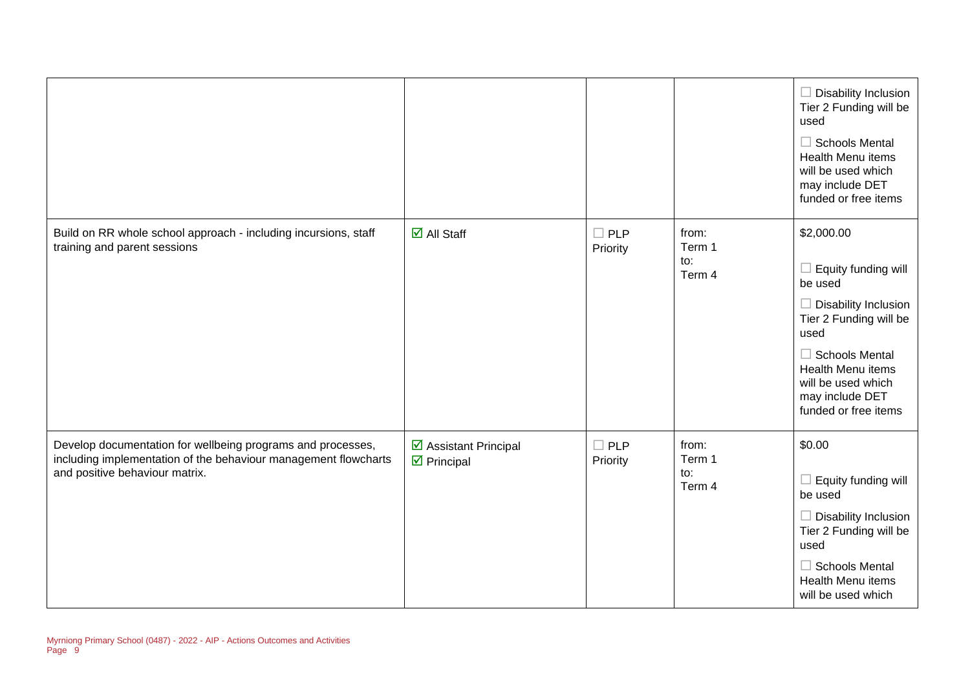|                                                                                                                                                                  |                                                     |                           |                                  | $\Box$ Disability Inclusion<br>Tier 2 Funding will be<br>used<br>$\Box$ Schools Mental<br><b>Health Menu items</b><br>will be used which<br>may include DET<br>funded or free items                                                 |
|------------------------------------------------------------------------------------------------------------------------------------------------------------------|-----------------------------------------------------|---------------------------|----------------------------------|-------------------------------------------------------------------------------------------------------------------------------------------------------------------------------------------------------------------------------------|
| Build on RR whole school approach - including incursions, staff<br>training and parent sessions                                                                  | $\overline{\mathsf{M}}$ All Staff                   | $\square$ PLP<br>Priority | from:<br>Term 1<br>to:<br>Term 4 | \$2,000.00<br>$\Box$ Equity funding will<br>be used<br>$\Box$ Disability Inclusion<br>Tier 2 Funding will be<br>used<br>$\Box$ Schools Mental<br>Health Menu items<br>will be used which<br>may include DET<br>funded or free items |
| Develop documentation for wellbeing programs and processes,<br>including implementation of the behaviour management flowcharts<br>and positive behaviour matrix. | ☑ Assistant Principal<br>$\triangleright$ Principal | $\square$ PLP<br>Priority | from:<br>Term 1<br>to:<br>Term 4 | \$0.00<br>$\Box$ Equity funding will<br>be used<br>$\Box$ Disability Inclusion<br>Tier 2 Funding will be<br>used<br>$\Box$ Schools Mental<br><b>Health Menu items</b><br>will be used which                                         |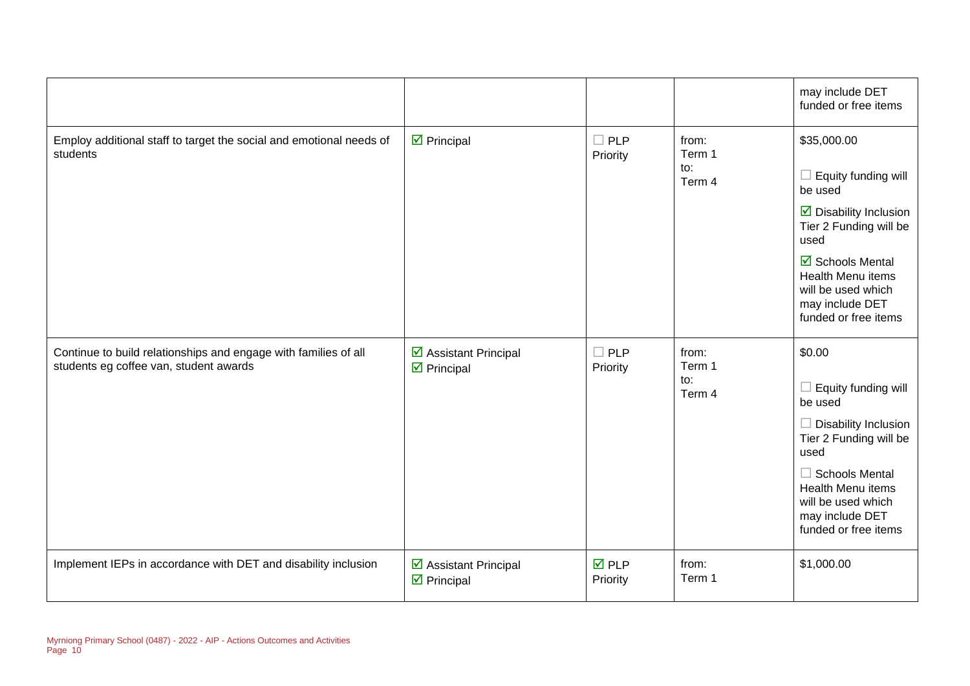|                                                     |                                |                 | may include DET<br>funded or free items                                                                                             |
|-----------------------------------------------------|--------------------------------|-----------------|-------------------------------------------------------------------------------------------------------------------------------------|
| $\boxtimes$ Principal                               | $\Box$ PLP<br>Priority         | from:<br>Term 1 | \$35,000.00                                                                                                                         |
|                                                     |                                | to:<br>Term 4   | $\Box$ Equity funding will<br>be used                                                                                               |
|                                                     |                                |                 | $\triangleright$ Disability Inclusion<br>Tier 2 Funding will be<br>used                                                             |
|                                                     |                                |                 | $\overline{\mathbf{M}}$ Schools Mental<br><b>Health Menu items</b><br>will be used which<br>may include DET<br>funded or free items |
| ☑ Assistant Principal<br>$\triangleright$ Principal | $\square$ PLP<br>Priority      | from:<br>Term 1 | \$0.00                                                                                                                              |
|                                                     |                                | Term 4          | $\Box$ Equity funding will<br>be used                                                                                               |
|                                                     |                                |                 | $\Box$ Disability Inclusion<br>Tier 2 Funding will be<br>used                                                                       |
|                                                     |                                |                 | $\Box$ Schools Mental<br><b>Health Menu items</b><br>will be used which<br>may include DET<br>funded or free items                  |
| ☑ Assistant Principal<br>$\triangleright$ Principal | $\overline{M}$ PLP<br>Priority | from:<br>Term 1 | \$1,000.00                                                                                                                          |
|                                                     |                                |                 | to:                                                                                                                                 |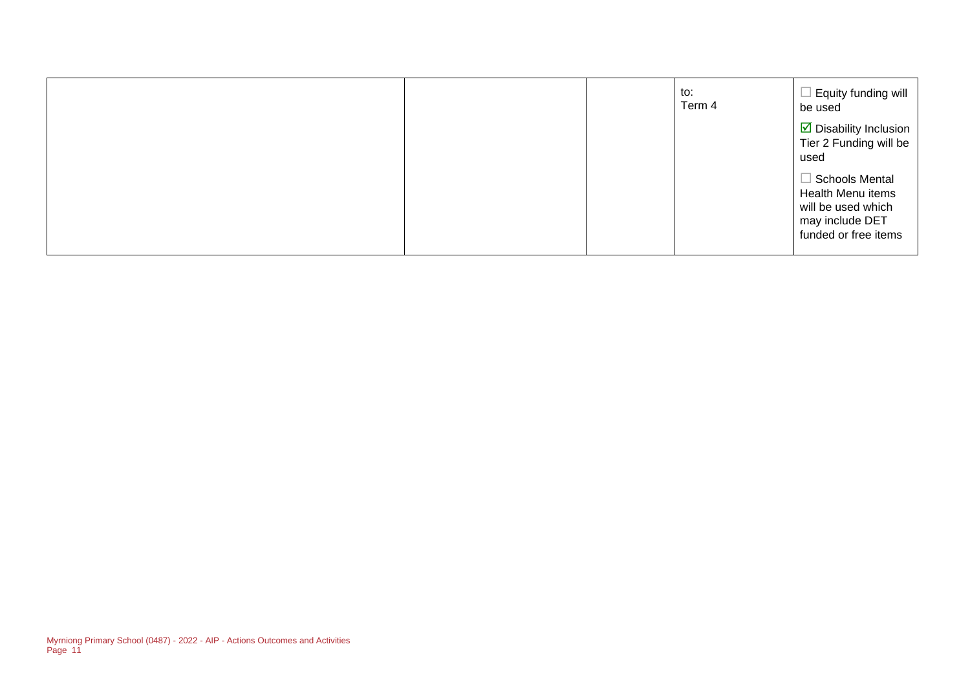|  | to:<br>Term 4 | Equity funding will<br>be used                                                                              |
|--|---------------|-------------------------------------------------------------------------------------------------------------|
|  |               | ■ Disability Inclusion<br>Tier 2 Funding will be<br>used                                                    |
|  |               | $\Box$ Schools Mental<br>Health Menu items<br>will be used which<br>may include DET<br>funded or free items |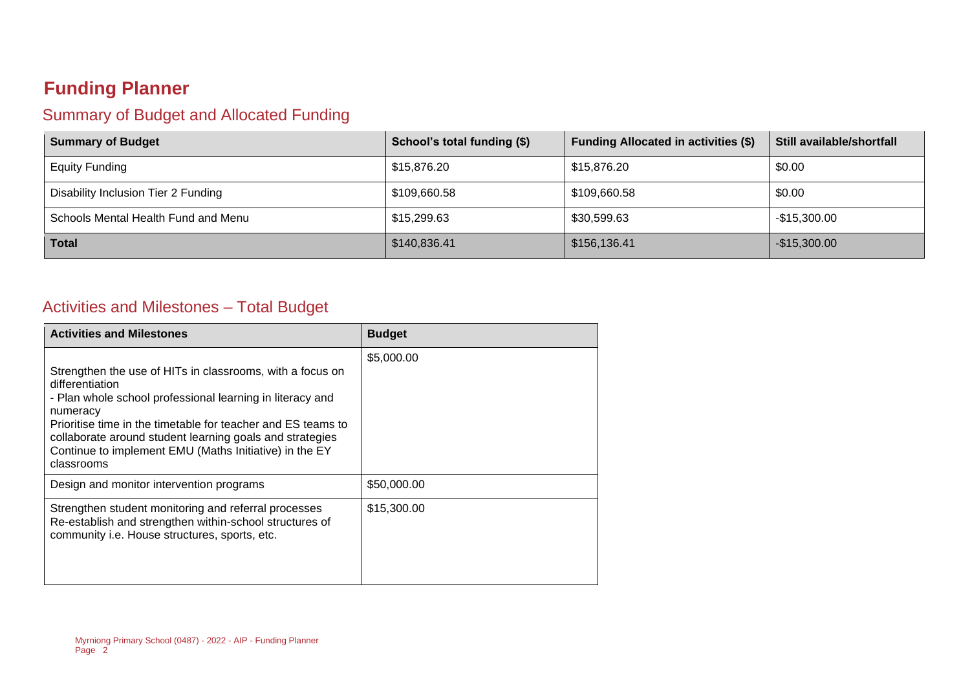### **Funding Planner**

#### Summary of Budget and Allocated Funding

| <b>Summary of Budget</b>            | School's total funding (\$) | <b>Funding Allocated in activities (\$)</b> | Still available/shortfall |
|-------------------------------------|-----------------------------|---------------------------------------------|---------------------------|
| <b>Equity Funding</b>               | \$15,876.20                 | \$15,876.20                                 | \$0.00                    |
| Disability Inclusion Tier 2 Funding | \$109,660.58                | \$109,660.58                                | \$0.00                    |
| Schools Mental Health Fund and Menu | \$15,299.63                 | \$30,599.63                                 | $-$15,300.00$             |
| <b>Total</b>                        | \$140,836.41                | \$156,136.41                                | $-$15,300.00$             |

#### Activities and Milestones – Total Budget

| <b>Activities and Milestones</b>                                                                                                                                                                                                                                                                                                                          | <b>Budget</b> |
|-----------------------------------------------------------------------------------------------------------------------------------------------------------------------------------------------------------------------------------------------------------------------------------------------------------------------------------------------------------|---------------|
| Strengthen the use of HITs in classrooms, with a focus on<br>differentiation<br>- Plan whole school professional learning in literacy and<br>numeracy<br>Prioritise time in the timetable for teacher and ES teams to<br>collaborate around student learning goals and strategies<br>Continue to implement EMU (Maths Initiative) in the EY<br>classrooms | \$5,000.00    |
| Design and monitor intervention programs                                                                                                                                                                                                                                                                                                                  | \$50,000.00   |
| Strengthen student monitoring and referral processes<br>Re-establish and strengthen within-school structures of<br>community i.e. House structures, sports, etc.                                                                                                                                                                                          | \$15,300.00   |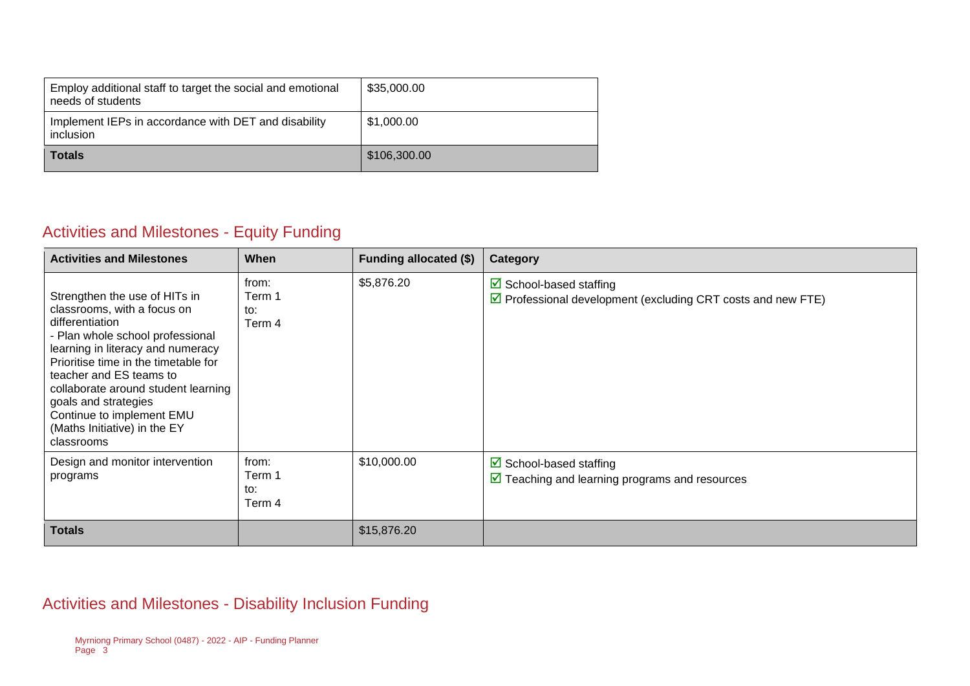| Employ additional staff to target the social and emotional<br>needs of students | \$35,000.00  |
|---------------------------------------------------------------------------------|--------------|
| Implement IEPs in accordance with DET and disability<br><i>inclusion</i>        | \$1,000.00   |
| <b>Totals</b>                                                                   | \$106,300.00 |

#### Activities and Milestones - Equity Funding

| <b>Activities and Milestones</b>                                                                                                                                                                                                                                                                                                                                      | <b>When</b>                      | Funding allocated (\$) | Category                                                                                                             |
|-----------------------------------------------------------------------------------------------------------------------------------------------------------------------------------------------------------------------------------------------------------------------------------------------------------------------------------------------------------------------|----------------------------------|------------------------|----------------------------------------------------------------------------------------------------------------------|
| Strengthen the use of HITs in<br>classrooms, with a focus on<br>differentiation<br>- Plan whole school professional<br>learning in literacy and numeracy<br>Prioritise time in the timetable for<br>teacher and ES teams to<br>collaborate around student learning<br>goals and strategies<br>Continue to implement EMU<br>(Maths Initiative) in the EY<br>classrooms | from:<br>Term 1<br>to:<br>Term 4 | \$5,876.20             | $\triangleright$ School-based staffing<br>$\triangledown$ Professional development (excluding CRT costs and new FTE) |
| Design and monitor intervention<br>programs                                                                                                                                                                                                                                                                                                                           | from:<br>Term 1<br>to:<br>Term 4 | \$10,000.00            | $\triangleright$ School-based staffing<br>$\triangledown$ Teaching and learning programs and resources               |
| <b>Totals</b>                                                                                                                                                                                                                                                                                                                                                         |                                  | \$15,876.20            |                                                                                                                      |

#### Activities and Milestones - Disability Inclusion Funding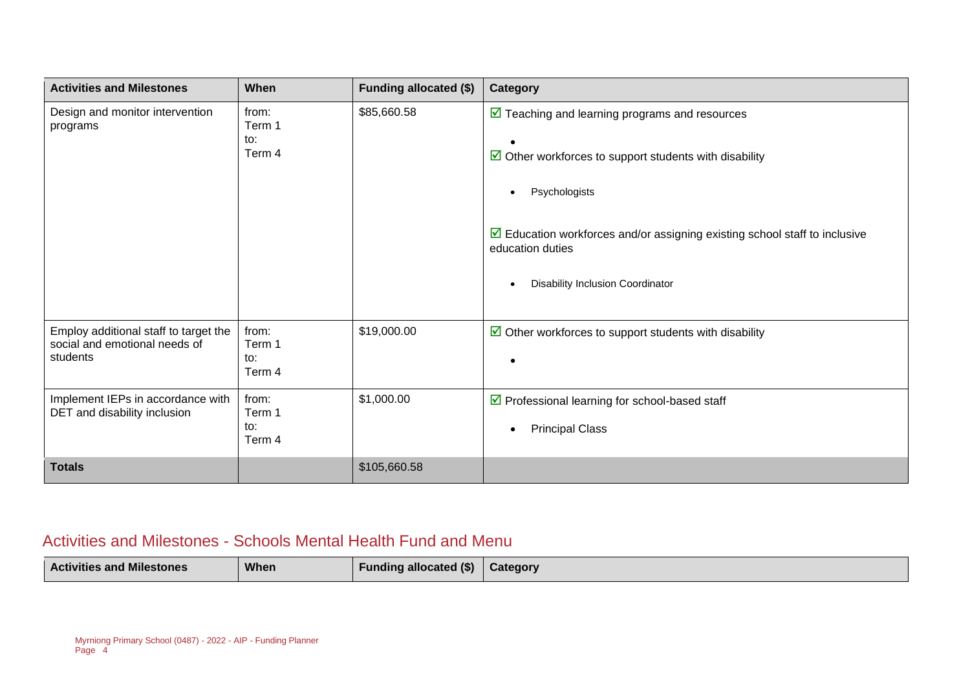| <b>Activities and Milestones</b>                                                   | When                             | <b>Funding allocated (\$)</b> | Category                                                                                                                                                                                                                                                                                                                 |
|------------------------------------------------------------------------------------|----------------------------------|-------------------------------|--------------------------------------------------------------------------------------------------------------------------------------------------------------------------------------------------------------------------------------------------------------------------------------------------------------------------|
| Design and monitor intervention<br>programs                                        | from:<br>Term 1<br>to:<br>Term 4 | \$85,660.58                   | $\triangledown$ Teaching and learning programs and resources<br>$\triangleright$ Other workforces to support students with disability<br>Psychologists<br>$\bullet$<br>$\triangleright$ Education workforces and/or assigning existing school staff to inclusive<br>education duties<br>Disability Inclusion Coordinator |
| Employ additional staff to target the<br>social and emotional needs of<br>students | from:<br>Term 1<br>to:<br>Term 4 | \$19,000.00                   | $\triangleright$ Other workforces to support students with disability                                                                                                                                                                                                                                                    |
| Implement IEPs in accordance with<br>DET and disability inclusion                  | from:<br>Term 1<br>to:<br>Term 4 | \$1,000.00                    | ☑ Professional learning for school-based staff<br><b>Principal Class</b><br>$\bullet$                                                                                                                                                                                                                                    |
| <b>Totals</b>                                                                      |                                  | \$105,660.58                  |                                                                                                                                                                                                                                                                                                                          |

#### Activities and Milestones - Schools Mental Health Fund and Menu

| <b>When</b><br><b>Activities and Milestones</b> | <b>Funding allocated (\$)</b> | Category |
|-------------------------------------------------|-------------------------------|----------|
|-------------------------------------------------|-------------------------------|----------|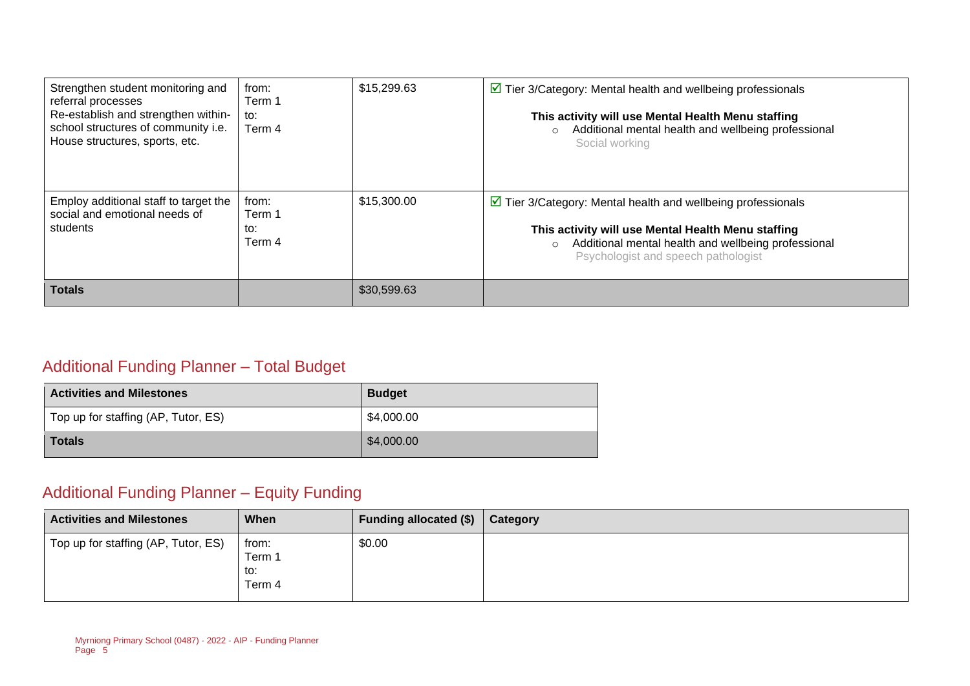| Strengthen student monitoring and<br>referral processes<br>Re-establish and strengthen within-<br>school structures of community i.e.<br>House structures, sports, etc. | from:<br>Term 1<br>to:<br>Term 4 | \$15,299.63 | $\triangleright$ Tier 3/Category: Mental health and wellbeing professionals<br>This activity will use Mental Health Menu staffing<br>Additional mental health and wellbeing professional<br>$\circ$<br>Social working                      |
|-------------------------------------------------------------------------------------------------------------------------------------------------------------------------|----------------------------------|-------------|--------------------------------------------------------------------------------------------------------------------------------------------------------------------------------------------------------------------------------------------|
| Employ additional staff to target the<br>social and emotional needs of<br>students                                                                                      | from:<br>Term 1<br>to:<br>Term 4 | \$15,300.00 | $\triangleright$ Tier 3/Category: Mental health and wellbeing professionals<br>This activity will use Mental Health Menu staffing<br>Additional mental health and wellbeing professional<br>$\circ$<br>Psychologist and speech pathologist |
| <b>Totals</b>                                                                                                                                                           |                                  | \$30,599.63 |                                                                                                                                                                                                                                            |

#### Additional Funding Planner – Total Budget

| <b>Activities and Milestones</b>    | <b>Budget</b> |
|-------------------------------------|---------------|
| Top up for staffing (AP, Tutor, ES) | \$4,000.00    |
| <b>Totals</b>                       | \$4,000.00    |

### Additional Funding Planner – Equity Funding

| <b>Activities and Milestones</b>    | When                             | Funding allocated (\$) | Category |
|-------------------------------------|----------------------------------|------------------------|----------|
| Top up for staffing (AP, Tutor, ES) | from:<br>Term 1<br>to:<br>Term 4 | \$0.00                 |          |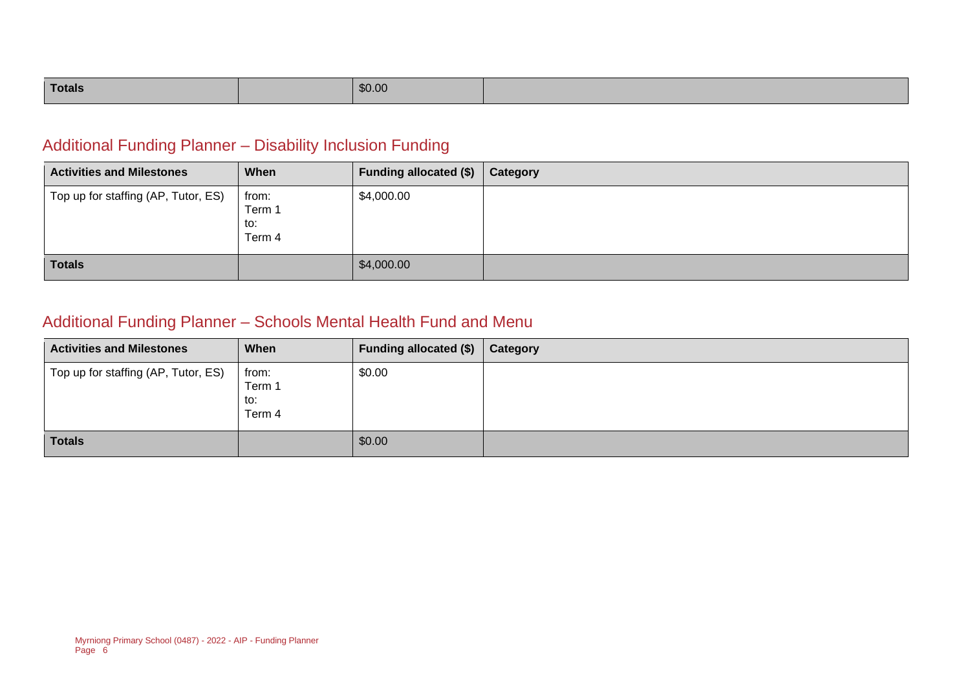| \$0.00<br>Totals |  |  |
|------------------|--|--|
|------------------|--|--|

#### Additional Funding Planner – Disability Inclusion Funding

| <b>Activities and Milestones</b>    | When                             | <b>Funding allocated (\$)</b> | Category |
|-------------------------------------|----------------------------------|-------------------------------|----------|
| Top up for staffing (AP, Tutor, ES) | from:<br>Term 1<br>to:<br>Term 4 | \$4,000.00                    |          |
| <b>Totals</b>                       |                                  | \$4,000.00                    |          |

#### Additional Funding Planner – Schools Mental Health Fund and Menu

| <b>Activities and Milestones</b>    | When                             | Funding allocated (\$) | Category |
|-------------------------------------|----------------------------------|------------------------|----------|
| Top up for staffing (AP, Tutor, ES) | from:<br>Term 1<br>to:<br>Term 4 | \$0.00                 |          |
| <b>Totals</b>                       |                                  | \$0.00                 |          |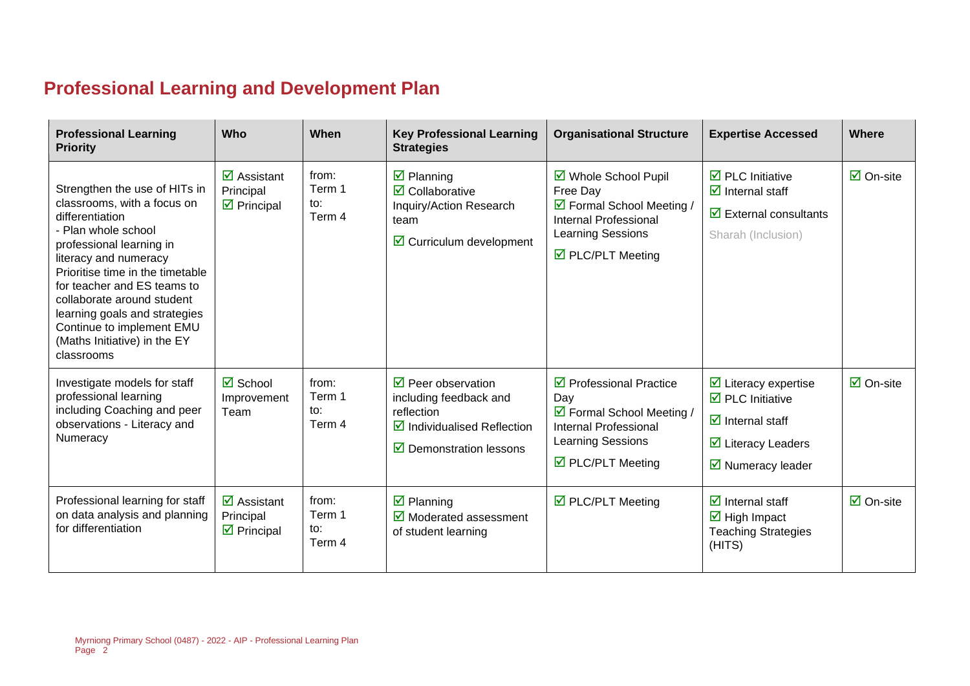### **Professional Learning and Development Plan**

| <b>Professional Learning</b><br><b>Priority</b>                                                                                                                                                                                                                                                                                                                          | Who                                                                          | When                             | <b>Key Professional Learning</b><br><b>Strategies</b>                                                                                                          | <b>Organisational Structure</b>                                                                                                                                    | <b>Expertise Accessed</b>                                                                                                                                                                | <b>Where</b>                    |
|--------------------------------------------------------------------------------------------------------------------------------------------------------------------------------------------------------------------------------------------------------------------------------------------------------------------------------------------------------------------------|------------------------------------------------------------------------------|----------------------------------|----------------------------------------------------------------------------------------------------------------------------------------------------------------|--------------------------------------------------------------------------------------------------------------------------------------------------------------------|------------------------------------------------------------------------------------------------------------------------------------------------------------------------------------------|---------------------------------|
| Strengthen the use of HITs in<br>classrooms, with a focus on<br>differentiation<br>- Plan whole school<br>professional learning in<br>literacy and numeracy<br>Prioritise time in the timetable<br>for teacher and ES teams to<br>collaborate around student<br>learning goals and strategies<br>Continue to implement EMU<br>(Maths Initiative) in the EY<br>classrooms | $\overline{\mathbf{z}}$ Assistant<br>Principal<br>$\triangleright$ Principal | from:<br>Term 1<br>to:<br>Term 4 | $\overline{\mathbf{z}}$ Planning<br>$\overline{\mathbf{2}}$ Collaborative<br>Inquiry/Action Research<br>team<br>$\boxtimes$ Curriculum development             | ☑ Whole School Pupil<br>Free Day<br>☑ Formal School Meeting /<br><b>Internal Professional</b><br><b>Learning Sessions</b><br>$\triangledown$ PLC/PLT Meeting       | $\triangleright$ PLC Initiative<br>$\overline{\mathbf{M}}$ Internal staff<br>$\triangleright$ External consultants<br>Sharah (Inclusion)                                                 | $\boxdot$ On-site               |
| Investigate models for staff<br>professional learning<br>including Coaching and peer<br>observations - Literacy and<br>Numeracy                                                                                                                                                                                                                                          | $\overline{\mathbf{z}}$ School<br>Improvement<br>Team                        | from:<br>Term 1<br>to:<br>Term 4 | $\triangledown$ Peer observation<br>including feedback and<br>reflection<br>$\triangledown$ Individualised Reflection<br>$\triangledown$ Demonstration lessons | $\triangleright$ Professional Practice<br>Day<br>☑ Formal School Meeting /<br><b>Internal Professional</b><br>Learning Sessions<br>$\triangledown$ PLC/PLT Meeting | $\triangleright$ Literacy expertise<br>$\triangleright$ PLC Initiative<br>$\overline{\mathbf{z}}$ Internal staff<br>$\triangleright$ Literacy Leaders<br>$\triangledown$ Numeracy leader | $\boxdot$ On-site               |
| Professional learning for staff<br>on data analysis and planning<br>for differentiation                                                                                                                                                                                                                                                                                  | $\overline{\mathbf{M}}$ Assistant<br>Principal<br>$\triangleright$ Principal | from:<br>Term 1<br>to:<br>Term 4 | $\overline{\mathbf{z}}$ Planning<br>$\boxtimes$ Moderated assessment<br>of student learning                                                                    | ☑ PLC/PLT Meeting                                                                                                                                                  | $\overline{\mathbf{M}}$ Internal staff<br>$\overline{\mathbf{M}}$ High Impact<br><b>Teaching Strategies</b><br>(HITS)                                                                    | $\overline{\mathsf{M}}$ On-site |